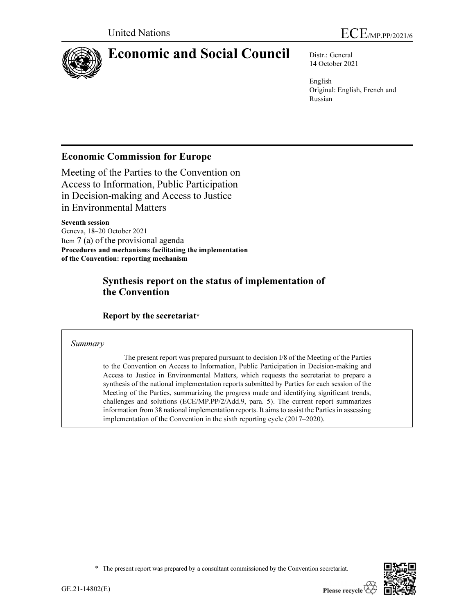

# Economic and Social Council Distr.: General

14 October 2021

English Original: English, French and Russian

## Economic Commission for Europe

Meeting of the Parties to the Convention on Access to Information, Public Participation in Decision-making and Access to Justice in Environmental Matters

Seventh session Geneva, 18–20 October 2021 Item 7 (a) of the provisional agenda Procedures and mechanisms facilitating the implementation of the Convention: reporting mechanism

## Synthesis report on the status of implementation of the Convention

Report by the secretariat\*

## Summary

 The present report was prepared pursuant to decision I/8 of the Meeting of the Parties to the Convention on Access to Information, Public Participation in Decision-making and Access to Justice in Environmental Matters, which requests the secretariat to prepare a synthesis of the national implementation reports submitted by Parties for each session of the Meeting of the Parties, summarizing the progress made and identifying significant trends, challenges and solutions (ECE/MP.PP/2/Add.9, para. 5). The current report summarizes information from 38 national implementation reports. It aims to assist the Parties in assessing implementation of the Convention in the sixth reporting cycle (2017–2020).

\* The present report was prepared by a consultant commissioned by the Convention secretariat.

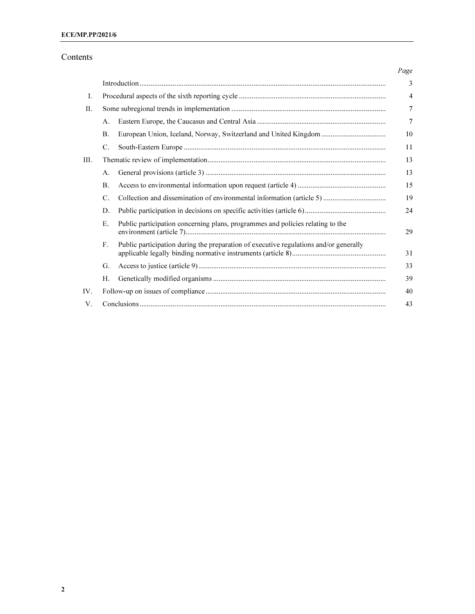## Contents

|      |           |                                                                                       | Page           |
|------|-----------|---------------------------------------------------------------------------------------|----------------|
|      |           |                                                                                       | 3              |
| Ι.   |           |                                                                                       | 4              |
| II.  |           |                                                                                       | $\overline{7}$ |
|      | A.        |                                                                                       | $\overline{7}$ |
|      | <b>B.</b> |                                                                                       | 10             |
|      | C.        |                                                                                       | 11             |
| III. |           |                                                                                       | 13             |
|      | Α.        |                                                                                       | 13             |
|      | <b>B.</b> |                                                                                       | 15             |
|      | C.        |                                                                                       | 19             |
|      | D.        |                                                                                       | 24             |
|      | E.        | Public participation concerning plans, programmes and policies relating to the        | 29             |
|      | F.        | Public participation during the preparation of executive regulations and/or generally | 31             |
|      | G.        |                                                                                       | 33             |
|      | Н.        |                                                                                       | 39             |
| IV.  |           |                                                                                       | 40             |
| V.   |           |                                                                                       | 43             |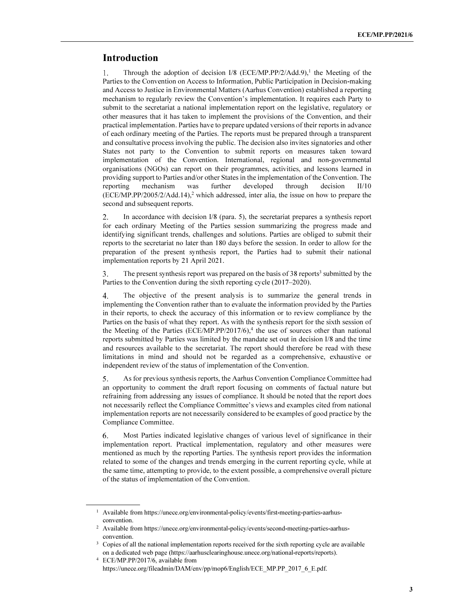## Introduction

ı

Through the adoption of decision  $I/8$  (ECE/MP.PP/2/Add.9),<sup>1</sup> the Meeting of the 1. Parties to the Convention on Access to Information, Public Participation in Decision-making and Access to Justice in Environmental Matters (Aarhus Convention) established a reporting mechanism to regularly review the Convention's implementation. It requires each Party to submit to the secretariat a national implementation report on the legislative, regulatory or other measures that it has taken to implement the provisions of the Convention, and their practical implementation. Parties have to prepare updated versions of their reports in advance of each ordinary meeting of the Parties. The reports must be prepared through a transparent and consultative process involving the public. The decision also invites signatories and other States not party to the Convention to submit reports on measures taken toward implementation of the Convention. International, regional and non-governmental organisations (NGOs) can report on their programmes, activities, and lessons learned in providing support to Parties and/or other States in the implementation of the Convention. The reporting mechanism was further developed through decision II/10  $(ECE/MP.PP/2005/2/Add.14)<sup>2</sup>$ , which addressed, inter alia, the issue on how to prepare the second and subsequent reports.

 $\overline{2}$ . In accordance with decision I/8 (para. 5), the secretariat prepares a synthesis report for each ordinary Meeting of the Parties session summarizing the progress made and identifying significant trends, challenges and solutions. Parties are obliged to submit their reports to the secretariat no later than 180 days before the session. In order to allow for the preparation of the present synthesis report, the Parties had to submit their national implementation reports by 21 April 2021.

The present synthesis report was prepared on the basis of 38 reports<sup>3</sup> submitted by the 3. Parties to the Convention during the sixth reporting cycle (2017–2020).

4. The objective of the present analysis is to summarize the general trends in implementing the Convention rather than to evaluate the information provided by the Parties in their reports, to check the accuracy of this information or to review compliance by the Parties on the basis of what they report. As with the synthesis report for the sixth session of the Meeting of the Parties (ECE/MP.PP/2017/6),<sup>4</sup> the use of sources other than national reports submitted by Parties was limited by the mandate set out in decision I/8 and the time and resources available to the secretariat. The report should therefore be read with these limitations in mind and should not be regarded as a comprehensive, exhaustive or independent review of the status of implementation of the Convention.

5. As for previous synthesis reports, the Aarhus Convention Compliance Committee had an opportunity to comment the draft report focusing on comments of factual nature but refraining from addressing any issues of compliance. It should be noted that the report does not necessarily reflect the Compliance Committee's views and examples cited from national implementation reports are not necessarily considered to be examples of good practice by the Compliance Committee.

6. Most Parties indicated legislative changes of various level of significance in their implementation report. Practical implementation, regulatory and other measures were mentioned as much by the reporting Parties. The synthesis report provides the information related to some of the changes and trends emerging in the current reporting cycle, while at the same time, attempting to provide, to the extent possible, a comprehensive overall picture of the status of implementation of the Convention.

<sup>&</sup>lt;sup>1</sup> Available from https://unece.org/environmental-policy/events/first-meeting-parties-aarhusconvention.

<sup>2</sup> Available from https://unece.org/environmental-policy/events/second-meeting-parties-aarhusconvention.

<sup>&</sup>lt;sup>3</sup> Copies of all the national implementation reports received for the sixth reporting cycle are available on a dedicated web page (https://aarhusclearinghouse.unece.org/national-reports/reports).

<sup>4</sup> ECE/MP.PP/2017/6, available from https://unece.org/fileadmin/DAM/env/pp/mop6/English/ECE\_MP.PP\_2017\_6\_E.pdf.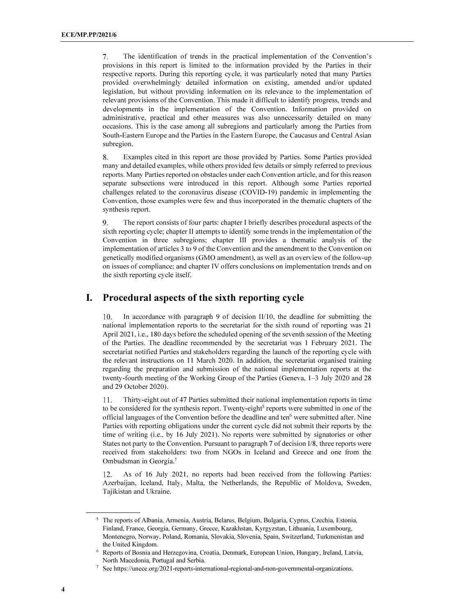The identification of trends in the practical implementation of the Convention's  $7.$ provisions in this report is limited to the information provided by the Parties in their respective reports. During this reporting cycle, it was particularly noted that many Parties provided overwhelmingly detailed information on existing, amended and/or updated legislation, but without providing information on its relevance to the implementation of relevant provisions of the Convention. This made it difficult to identify progress, trends and developments in the implementation of the Convention. Information provided on administrative, practical and other measures was also unnecessarily detailed on many occasions. This is the case among all subregions and particularly among the Parties from South-Eastern Europe and the Parties in the Eastern Europe, the Caucasus and Central Asian subregion.

8. Examples cited in this report are those provided by Parties. Some Parties provided many and detailed examples, while others provided few details or simply referred to previous reports. Many Parties reported on obstacles under each Convention article, and for this reason separate subsections were introduced in this report. Although some Parties reported challenges related to the coronavirus disease (COVID-19) pandemic in implementing the Convention, those examples were few and thus incorporated in the thematic chapters of the synthesis report.

9. The report consists of four parts: chapter I briefly describes procedural aspects of the sixth reporting cycle; chapter II attempts to identify some trends in the implementation of the Convention in three subregions; chapter III provides a thematic analysis of the implementation of articles 3 to 9 of the Convention and the amendment to the Convention on genetically modified organisms (GMO amendment), as well as an overview of the follow-up on issues of compliance; and chapter IV offers conclusions on implementation trends and on the sixth reporting cycle itself.

## I. Procedural aspects of the sixth reporting cycle

10. In accordance with paragraph 9 of decision II/10, the deadline for submitting the national implementation reports to the secretariat for the sixth round of reporting was 21 April 2021, i.e., 180 days before the scheduled opening of the seventh session of the Meeting of the Parties. The deadline recommended by the secretariat was 1 February 2021. The secretariat notified Parties and stakeholders regarding the launch of the reporting cycle with the relevant instructions on 11 March 2020. In addition, the secretariat organised training regarding the preparation and submission of the national implementation reports at the twenty-fourth meeting of the Working Group of the Parties (Geneva, 1–3 July 2020 and 28 and 29 October 2020).

11. Thirty-eight out of 47 Parties submitted their national implementation reports in time to be considered for the synthesis report. Twenty-eight<sup>5</sup> reports were submitted in one of the official languages of the Convention before the deadline and ten<sup>6</sup> were submitted after. Nine Parties with reporting obligations under the current cycle did not submit their reports by the time of writing (i.e., by 16 July 2021). No reports were submitted by signatories or other States not party to the Convention. Pursuant to paragraph 7 of decision I/8, three reports were received from stakeholders: two from NGOs in Iceland and Greece and one from the Ombudsman in Georgia.<sup>7</sup>

As of 16 July 2021, no reports had been received from the following Parties: 12. Azerbaijan, Iceland, Italy, Malta, the Netherlands, the Republic of Moldova, Sweden, Tajikistan and Ukraine.

 $\overline{a}$ 

<sup>&</sup>lt;sup>5</sup> The reports of Albania, Armenia, Austria, Belarus, Belgium, Bulgaria, Cyprus, Czechia, Estonia, Finland, France, Georgia, Germany, Greece, Kazakhstan, Kyrgyzstan, Lithuania, Luxembourg, Montenegro, Norway, Poland, Romania, Slovakia, Slovenia, Spain, Switzerland, Turkmenistan and the United Kingdom.

<sup>6</sup> Reports of Bosnia and Herzegovina, Croatia, Denmark, European Union, Hungary, Ireland, Latvia, North Macedonia, Portugal and Serbia.

<sup>7</sup> See https://unece.org/2021-reports-international-regional-and-non-governmental-organizations.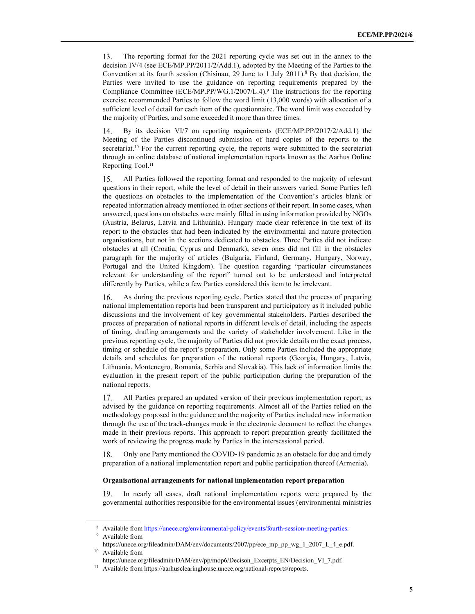The reporting format for the 2021 reporting cycle was set out in the annex to the 13. decision IV/4 (see ECE/MP.PP/2011/2/Add.1), adopted by the Meeting of the Parties to the Convention at its fourth session (Chisinau, 29 June to 1 July 2011).<sup>8</sup> By that decision, the Parties were invited to use the guidance on reporting requirements prepared by the Compliance Committee (ECE/MP.PP/WG.1/2007/L.4).<sup>9</sup> The instructions for the reporting exercise recommended Parties to follow the word limit (13,000 words) with allocation of a sufficient level of detail for each item of the questionnaire. The word limit was exceeded by the majority of Parties, and some exceeded it more than three times.

14. By its decision VI/7 on reporting requirements (ECE/MP.PP/2017/2/Add.1) the Meeting of the Parties discontinued submission of hard copies of the reports to the secretariat.<sup>10</sup> For the current reporting cycle, the reports were submitted to the secretariat through an online database of national implementation reports known as the Aarhus Online Reporting Tool.<sup>11</sup>

15. All Parties followed the reporting format and responded to the majority of relevant questions in their report, while the level of detail in their answers varied. Some Parties left the questions on obstacles to the implementation of the Convention's articles blank or repeated information already mentioned in other sections of their report. In some cases, when answered, questions on obstacles were mainly filled in using information provided by NGOs (Austria, Belarus, Latvia and Lithuania). Hungary made clear reference in the text of its report to the obstacles that had been indicated by the environmental and nature protection organisations, but not in the sections dedicated to obstacles. Three Parties did not indicate obstacles at all (Croatia, Cyprus and Denmark), seven ones did not fill in the obstacles paragraph for the majority of articles (Bulgaria, Finland, Germany, Hungary, Norway, Portugal and the United Kingdom). The question regarding "particular circumstances relevant for understanding of the report" turned out to be understood and interpreted differently by Parties, while a few Parties considered this item to be irrelevant.

As during the previous reporting cycle, Parties stated that the process of preparing 16. national implementation reports had been transparent and participatory as it included public discussions and the involvement of key governmental stakeholders. Parties described the process of preparation of national reports in different levels of detail, including the aspects of timing, drafting arrangements and the variety of stakeholder involvement. Like in the previous reporting cycle, the majority of Parties did not provide details on the exact process, timing or schedule of the report's preparation. Only some Parties included the appropriate details and schedules for preparation of the national reports (Georgia, Hungary, Latvia, Lithuania, Montenegro, Romania, Serbia and Slovakia). This lack of information limits the evaluation in the present report of the public participation during the preparation of the national reports.

All Parties prepared an updated version of their previous implementation report, as 17. advised by the guidance on reporting requirements. Almost all of the Parties relied on the methodology proposed in the guidance and the majority of Parties included new information through the use of the track-changes mode in the electronic document to reflect the changes made in their previous reports. This approach to report preparation greatly facilitated the work of reviewing the progress made by Parties in the intersessional period.

Only one Party mentioned the COVID-19 pandemic as an obstacle for due and timely 18. preparation of a national implementation report and public participation thereof (Armenia).

#### Organisational arrangements for national implementation report preparation

In nearly all cases, draft national implementation reports were prepared by the 19 governmental authorities responsible for the environmental issues (environmental ministries

<sup>8</sup> Available from https://unece.org/environmental-policy/events/fourth-session-meeting-parties.

<sup>9</sup> Available from

https://unece.org/fileadmin/DAM/env/documents/2007/pp/ece\_mp\_pp\_wg\_1\_2007\_L\_4\_e.pdf. <sup>10</sup> Available from

https://unece.org/fileadmin/DAM/env/pp/mop6/Decison\_Excerpts\_EN/Decision\_VI\_7.pdf.

<sup>&</sup>lt;sup>11</sup> Available from https://aarhusclearinghouse.unece.org/national-reports/reports.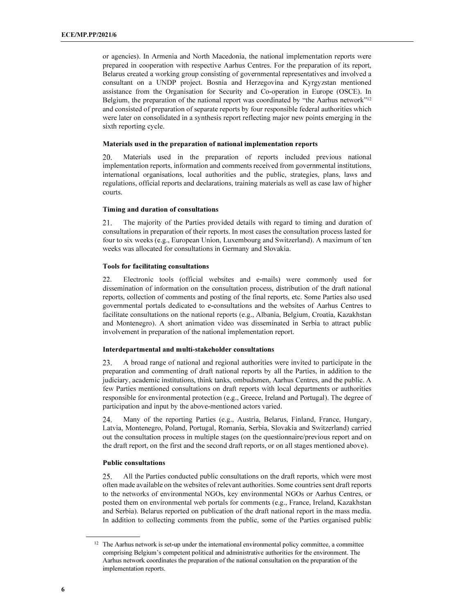or agencies). In Armenia and North Macedonia, the national implementation reports were prepared in cooperation with respective Aarhus Centres. For the preparation of its report, Belarus created a working group consisting of governmental representatives and involved a consultant on a UNDP project. Bosnia and Herzegovina and Kyrgyzstan mentioned assistance from the Organisation for Security and Co-operation in Europe (OSCE). In Belgium, the preparation of the national report was coordinated by "the Aarhus network"<sup>12</sup> and consisted of preparation of separate reports by four responsible federal authorities which were later on consolidated in a synthesis report reflecting major new points emerging in the sixth reporting cycle.

#### Materials used in the preparation of national implementation reports

20. Materials used in the preparation of reports included previous national implementation reports, information and comments received from governmental institutions, international organisations, local authorities and the public, strategies, plans, laws and regulations, official reports and declarations, training materials as well as case law of higher courts.

#### Timing and duration of consultations

21. The majority of the Parties provided details with regard to timing and duration of consultations in preparation of their reports. In most cases the consultation process lasted for four to six weeks (e.g., European Union, Luxembourg and Switzerland). A maximum of ten weeks was allocated for consultations in Germany and Slovakia.

#### Tools for facilitating consultations

22. Electronic tools (official websites and e-mails) were commonly used for dissemination of information on the consultation process, distribution of the draft national reports, collection of comments and posting of the final reports, etc. Some Parties also used governmental portals dedicated to e-consultations and the websites of Aarhus Centres to facilitate consultations on the national reports (e.g., Albania, Belgium, Croatia, Kazakhstan and Montenegro). A short animation video was disseminated in Serbia to attract public involvement in preparation of the national implementation report.

### Interdepartmental and multi-stakeholder consultations

23. A broad range of national and regional authorities were invited to participate in the preparation and commenting of draft national reports by all the Parties, in addition to the judiciary, academic institutions, think tanks, ombudsmen, Aarhus Centres, and the public. A few Parties mentioned consultations on draft reports with local departments or authorities responsible for environmental protection (e.g., Greece, Ireland and Portugal). The degree of participation and input by the above-mentioned actors varied.

Many of the reporting Parties (e.g., Austria, Belarus, Finland, France, Hungary, 24. Latvia, Montenegro, Poland, Portugal, Romania, Serbia, Slovakia and Switzerland) carried out the consultation process in multiple stages (on the questionnaire/previous report and on the draft report, on the first and the second draft reports, or on all stages mentioned above).

#### Public consultations

25. All the Parties conducted public consultations on the draft reports, which were most often made available on the websites of relevant authorities. Some countries sent draft reports to the networks of environmental NGOs, key environmental NGOs or Aarhus Centres, or posted them on environmental web portals for comments (e.g., France, Ireland, Kazakhstan and Serbia). Belarus reported on publication of the draft national report in the mass media. In addition to collecting comments from the public, some of the Parties organised public

<sup>&</sup>lt;sup>12</sup> The Aarhus network is set-up under the international environmental policy committee, a committee comprising Belgium's competent political and administrative authorities for the environment. The Aarhus network coordinates the preparation of the national consultation on the preparation of the implementation reports.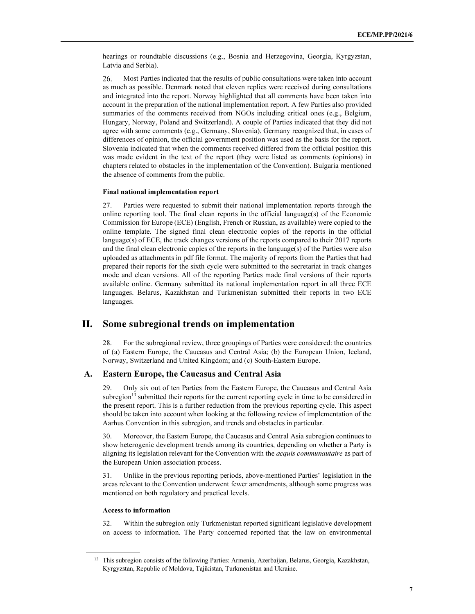hearings or roundtable discussions (e.g., Bosnia and Herzegovina, Georgia, Kyrgyzstan, Latvia and Serbia).

Most Parties indicated that the results of public consultations were taken into account 26. as much as possible. Denmark noted that eleven replies were received during consultations and integrated into the report. Norway highlighted that all comments have been taken into account in the preparation of the national implementation report. A few Parties also provided summaries of the comments received from NGOs including critical ones (e.g., Belgium, Hungary, Norway, Poland and Switzerland). A couple of Parties indicated that they did not agree with some comments (e.g., Germany, Slovenia). Germany recognized that, in cases of differences of opinion, the official government position was used as the basis for the report. Slovenia indicated that when the comments received differed from the official position this was made evident in the text of the report (they were listed as comments (opinions) in chapters related to obstacles in the implementation of the Convention). Bulgaria mentioned the absence of comments from the public.

#### Final national implementation report

27. Parties were requested to submit their national implementation reports through the online reporting tool. The final clean reports in the official language(s) of the Economic Commission for Europe (ECE) (English, French or Russian, as available) were copied to the online template. The signed final clean electronic copies of the reports in the official language(s) of ECE, the track changes versions of the reports compared to their 2017 reports and the final clean electronic copies of the reports in the language(s) of the Parties were also uploaded as attachments in pdf file format. The majority of reports from the Parties that had prepared their reports for the sixth cycle were submitted to the secretariat in track changes mode and clean versions. All of the reporting Parties made final versions of their reports available online. Germany submitted its national implementation report in all three ECE languages. Belarus, Kazakhstan and Turkmenistan submitted their reports in two ECE languages.

## II. Some subregional trends on implementation

28. For the subregional review, three groupings of Parties were considered: the countries of (a) Eastern Europe, the Caucasus and Central Asia; (b) the European Union, Iceland, Norway, Switzerland and United Kingdom; and (c) South-Eastern Europe.

#### A. Eastern Europe, the Caucasus and Central Asia

29. Only six out of ten Parties from the Eastern Europe, the Caucasus and Central Asia subregion<sup>13</sup> submitted their reports for the current reporting cycle in time to be considered in the present report. This is a further reduction from the previous reporting cycle. This aspect should be taken into account when looking at the following review of implementation of the Aarhus Convention in this subregion, and trends and obstacles in particular.

30. Moreover, the Eastern Europe, the Caucasus and Central Asia subregion continues to show heterogenic development trends among its countries, depending on whether a Party is aligning its legislation relevant for the Convention with the *acquis communautaire* as part of the European Union association process.

31. Unlike in the previous reporting periods, above-mentioned Parties' legislation in the areas relevant to the Convention underwent fewer amendments, although some progress was mentioned on both regulatory and practical levels.

## Access to information

 $\overline{a}$ 

32. Within the subregion only Turkmenistan reported significant legislative development on access to information. The Party concerned reported that the law on environmental

<sup>&</sup>lt;sup>13</sup> This subregion consists of the following Parties: Armenia, Azerbaijan, Belarus, Georgia, Kazakhstan, Kyrgyzstan, Republic of Moldova, Tajikistan, Turkmenistan and Ukraine.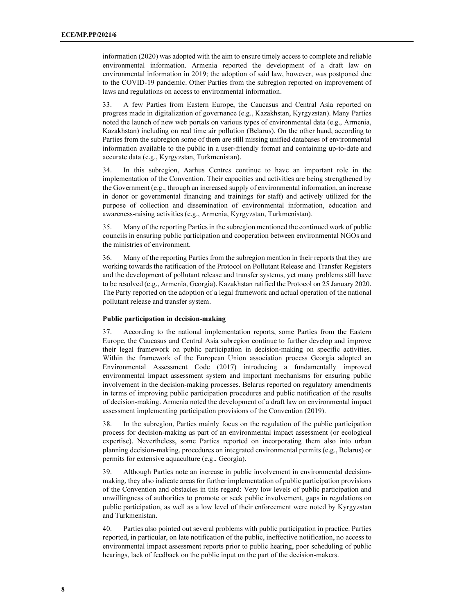information (2020) was adopted with the aim to ensure timely access to complete and reliable environmental information. Armenia reported the development of a draft law on environmental information in 2019; the adoption of said law, however, was postponed due to the COVID-19 pandemic. Other Parties from the subregion reported on improvement of laws and regulations on access to environmental information.

33. A few Parties from Eastern Europe, the Caucasus and Central Asia reported on progress made in digitalization of governance (e.g., Kazakhstan, Kyrgyzstan). Many Parties noted the launch of new web portals on various types of environmental data (e.g., Armenia, Kazakhstan) including on real time air pollution (Belarus). On the other hand, according to Parties from the subregion some of them are still missing unified databases of environmental information available to the public in a user-friendly format and containing up-to-date and accurate data (e.g., Kyrgyzstan, Turkmenistan).

34. In this subregion, Aarhus Centres continue to have an important role in the implementation of the Convention. Their capacities and activities are being strengthened by the Government (e.g., through an increased supply of environmental information, an increase in donor or governmental financing and trainings for staff) and actively utilized for the purpose of collection and dissemination of environmental information, education and awareness-raising activities (e.g., Armenia, Kyrgyzstan, Turkmenistan).

35. Many of the reporting Parties in the subregion mentioned the continued work of public councils in ensuring public participation and cooperation between environmental NGOs and the ministries of environment.

36. Many of the reporting Parties from the subregion mention in their reports that they are working towards the ratification of the Protocol on Pollutant Release and Transfer Registers and the development of pollutant release and transfer systems, yet many problems still have to be resolved (e.g., Armenia, Georgia). Kazakhstan ratified the Protocol on 25 January 2020. The Party reported on the adoption of a legal framework and actual operation of the national pollutant release and transfer system.

#### Public participation in decision-making

37. According to the national implementation reports, some Parties from the Eastern Europe, the Caucasus and Central Asia subregion continue to further develop and improve their legal framework on public participation in decision-making on specific activities. Within the framework of the European Union association process Georgia adopted an Environmental Assessment Code (2017) introducing a fundamentally improved environmental impact assessment system and important mechanisms for ensuring public involvement in the decision-making processes. Belarus reported on regulatory amendments in terms of improving public participation procedures and public notification of the results of decision-making. Armenia noted the development of a draft law on environmental impact assessment implementing participation provisions of the Convention (2019).

38. In the subregion, Parties mainly focus on the regulation of the public participation process for decision-making as part of an environmental impact assessment (or ecological expertise). Nevertheless, some Parties reported on incorporating them also into urban planning decision-making, procedures on integrated environmental permits (e.g., Belarus) or permits for extensive aquaculture (e.g., Georgia).

39. Although Parties note an increase in public involvement in environmental decisionmaking, they also indicate areas for further implementation of public participation provisions of the Convention and obstacles in this regard: Very low levels of public participation and unwillingness of authorities to promote or seek public involvement, gaps in regulations on public participation, as well as a low level of their enforcement were noted by Kyrgyzstan and Turkmenistan.

40. Parties also pointed out several problems with public participation in practice. Parties reported, in particular, on late notification of the public, ineffective notification, no access to environmental impact assessment reports prior to public hearing, poor scheduling of public hearings, lack of feedback on the public input on the part of the decision-makers.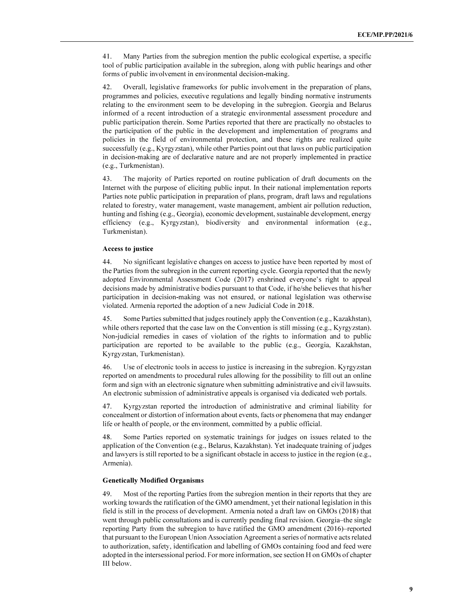41. Many Parties from the subregion mention the public ecological expertise, a specific tool of public participation available in the subregion, along with public hearings and other forms of public involvement in environmental decision-making.

42. Overall, legislative frameworks for public involvement in the preparation of plans, programmes and policies, executive regulations and legally binding normative instruments relating to the environment seem to be developing in the subregion. Georgia and Belarus informed of a recent introduction of a strategic environmental assessment procedure and public participation therein. Some Parties reported that there are practically no obstacles to the participation of the public in the development and implementation of programs and policies in the field of environmental protection, and these rights are realized quite successfully (e.g., Kyrgyzstan), while other Parties point out that laws on public participation in decision-making are of declarative nature and are not properly implemented in practice (e.g., Turkmenistan).

43. The majority of Parties reported on routine publication of draft documents on the Internet with the purpose of eliciting public input. In their national implementation reports Parties note public participation in preparation of plans, program, draft laws and regulations related to forestry, water management, waste management, ambient air pollution reduction, hunting and fishing (e.g., Georgia), economic development, sustainable development, energy efficiency (e.g., Kyrgyzstan), biodiversity and environmental information (e.g., Turkmenistan).

#### Access to justice

44. No significant legislative changes on access to justice have been reported by most of the Parties from the subregion in the current reporting cycle. Georgia reported that the newly adopted Environmental Assessment Code (2017) enshrined everyone's right to appeal decisions made by administrative bodies pursuant to that Code, if he/she believes that his/her participation in decision-making was not ensured, or national legislation was otherwise violated. Armenia reported the adoption of a new Judicial Code in 2018.

45. Some Parties submitted that judges routinely apply the Convention (e.g., Kazakhstan), while others reported that the case law on the Convention is still missing (e.g., Kyrgyzstan). Non-judicial remedies in cases of violation of the rights to information and to public participation are reported to be available to the public (e.g., Georgia, Kazakhstan, Kyrgyzstan, Turkmenistan).

46. Use of electronic tools in access to justice is increasing in the subregion. Kyrgyzstan reported on amendments to procedural rules allowing for the possibility to fill out an online form and sign with an electronic signature when submitting administrative and civil lawsuits. An electronic submission of administrative appeals is organised via dedicated web portals.

47. Kyrgyzstan reported the introduction of administrative and criminal liability for concealment or distortion of information about events, facts or phenomena that may endanger life or health of people, or the environment, committed by a public official.

48. Some Parties reported on systematic trainings for judges on issues related to the application of the Convention (e.g., Belarus, Kazakhstan). Yet inadequate training of judges and lawyers is still reported to be a significant obstacle in access to justice in the region (e.g., Armenia).

## Genetically Modified Organisms

49. Most of the reporting Parties from the subregion mention in their reports that they are working towards the ratification of the GMO amendment, yet their national legislation in this field is still in the process of development. Armenia noted a draft law on GMOs (2018) that went through public consultations and is currently pending final revision. Georgia–the single reporting Party from the subregion to have ratified the GMO amendment (2016)–reported that pursuant to the European Union Association Agreement a series of normative acts related to authorization, safety, identification and labelling of GMOs containing food and feed were adopted in the intersessional period. For more information, see section H on GMOs of chapter III below.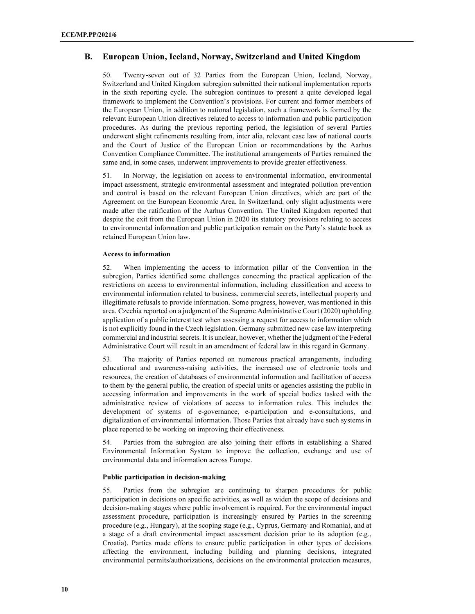## B. European Union, Iceland, Norway, Switzerland and United Kingdom

50. Twenty-seven out of 32 Parties from the European Union, Iceland, Norway, Switzerland and United Kingdom subregion submitted their national implementation reports in the sixth reporting cycle. The subregion continues to present a quite developed legal framework to implement the Convention's provisions. For current and former members of the European Union, in addition to national legislation, such a framework is formed by the relevant European Union directives related to access to information and public participation procedures. As during the previous reporting period, the legislation of several Parties underwent slight refinements resulting from, inter alia, relevant case law of national courts and the Court of Justice of the European Union or recommendations by the Aarhus Convention Compliance Committee. The institutional arrangements of Parties remained the same and, in some cases, underwent improvements to provide greater effectiveness.

51. In Norway, the legislation on access to environmental information, environmental impact assessment, strategic environmental assessment and integrated pollution prevention and control is based on the relevant European Union directives, which are part of the Agreement on the European Economic Area. In Switzerland, only slight adjustments were made after the ratification of the Aarhus Convention. The United Kingdom reported that despite the exit from the European Union in 2020 its statutory provisions relating to access to environmental information and public participation remain on the Party's statute book as retained European Union law.

### Access to information

52. When implementing the access to information pillar of the Convention in the subregion, Parties identified some challenges concerning the practical application of the restrictions on access to environmental information, including classification and access to environmental information related to business, commercial secrets, intellectual property and illegitimate refusals to provide information. Some progress, however, was mentioned in this area. Czechia reported on a judgment of the Supreme Administrative Court (2020) upholding application of a public interest test when assessing a request for access to information which is not explicitly found in the Czech legislation. Germany submitted new case law interpreting commercial and industrial secrets. It is unclear, however, whether the judgment of the Federal Administrative Court will result in an amendment of federal law in this regard in Germany.

53. The majority of Parties reported on numerous practical arrangements, including educational and awareness-raising activities, the increased use of electronic tools and resources, the creation of databases of environmental information and facilitation of access to them by the general public, the creation of special units or agencies assisting the public in accessing information and improvements in the work of special bodies tasked with the administrative review of violations of access to information rules. This includes the development of systems of e-governance, e-participation and e-consultations, and digitalization of environmental information. Those Parties that already have such systems in place reported to be working on improving their effectiveness.

54. Parties from the subregion are also joining their efforts in establishing a Shared Environmental Information System to improve the collection, exchange and use of environmental data and information across Europe.

## Public participation in decision-making

55. Parties from the subregion are continuing to sharpen procedures for public participation in decisions on specific activities, as well as widen the scope of decisions and decision-making stages where public involvement is required. For the environmental impact assessment procedure, participation is increasingly ensured by Parties in the screening procedure (e.g., Hungary), at the scoping stage (e.g., Cyprus, Germany and Romania), and at a stage of a draft environmental impact assessment decision prior to its adoption (e.g., Croatia). Parties made efforts to ensure public participation in other types of decisions affecting the environment, including building and planning decisions, integrated environmental permits/authorizations, decisions on the environmental protection measures,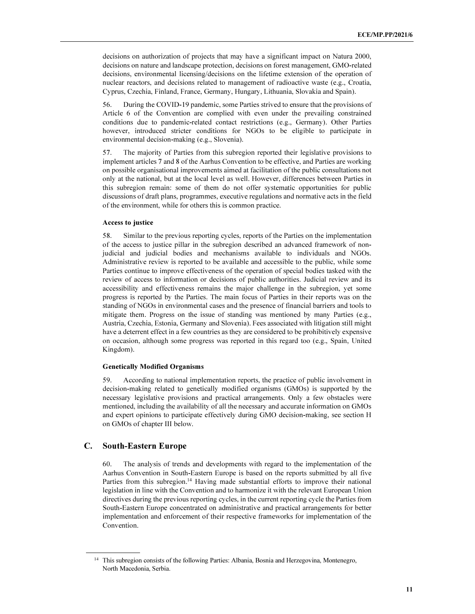decisions on authorization of projects that may have a significant impact on Natura 2000, decisions on nature and landscape protection, decisions on forest management, GMO-related decisions, environmental licensing/decisions on the lifetime extension of the operation of nuclear reactors, and decisions related to management of radioactive waste (e.g., Croatia, Cyprus, Czechia, Finland, France, Germany, Hungary, Lithuania, Slovakia and Spain).

56. During the COVID-19 pandemic, some Parties strived to ensure that the provisions of Article 6 of the Convention are complied with even under the prevailing constrained conditions due to pandemic-related contact restrictions (e.g., Germany). Other Parties however, introduced stricter conditions for NGOs to be eligible to participate in environmental decision-making (e.g., Slovenia).

57. The majority of Parties from this subregion reported their legislative provisions to implement articles 7 and 8 of the Aarhus Convention to be effective, and Parties are working on possible organisational improvements aimed at facilitation of the public consultations not only at the national, but at the local level as well. However, differences between Parties in this subregion remain: some of them do not offer systematic opportunities for public discussions of draft plans, programmes, executive regulations and normative acts in the field of the environment, while for others this is common practice.

#### Access to justice

58. Similar to the previous reporting cycles, reports of the Parties on the implementation of the access to justice pillar in the subregion described an advanced framework of nonjudicial and judicial bodies and mechanisms available to individuals and NGOs. Administrative review is reported to be available and accessible to the public, while some Parties continue to improve effectiveness of the operation of special bodies tasked with the review of access to information or decisions of public authorities. Judicial review and its accessibility and effectiveness remains the major challenge in the subregion, yet some progress is reported by the Parties. The main focus of Parties in their reports was on the standing of NGOs in environmental cases and the presence of financial barriers and tools to mitigate them. Progress on the issue of standing was mentioned by many Parties (e.g., Austria, Czechia, Estonia, Germany and Slovenia). Fees associated with litigation still might have a deterrent effect in a few countries as they are considered to be prohibitively expensive on occasion, although some progress was reported in this regard too (e.g., Spain, United Kingdom).

#### Genetically Modified Organisms

59. According to national implementation reports, the practice of public involvement in decision-making related to genetically modified organisms (GMOs) is supported by the necessary legislative provisions and practical arrangements. Only a few obstacles were mentioned, including the availability of all the necessary and accurate information on GMOs and expert opinions to participate effectively during GMO decision-making, see section H on GMOs of chapter III below.

### C. South-Eastern Europe

ı

60. The analysis of trends and developments with regard to the implementation of the Aarhus Convention in South-Eastern Europe is based on the reports submitted by all five Parties from this subregion.<sup>14</sup> Having made substantial efforts to improve their national legislation in line with the Convention and to harmonize it with the relevant European Union directives during the previous reporting cycles, in the current reporting cycle the Parties from South-Eastern Europe concentrated on administrative and practical arrangements for better implementation and enforcement of their respective frameworks for implementation of the Convention.

<sup>&</sup>lt;sup>14</sup> This subregion consists of the following Parties: Albania, Bosnia and Herzegovina, Montenegro, North Macedonia, Serbia.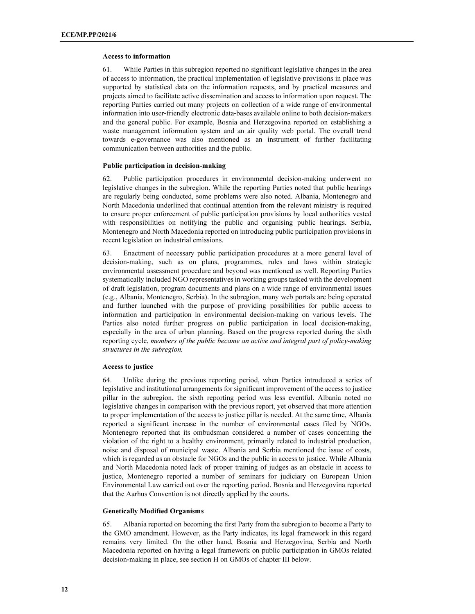#### Access to information

61. While Parties in this subregion reported no significant legislative changes in the area of access to information, the practical implementation of legislative provisions in place was supported by statistical data on the information requests, and by practical measures and projects aimed to facilitate active dissemination and access to information upon request. The reporting Parties carried out many projects on collection of a wide range of environmental information into user-friendly electronic data-bases available online to both decision-makers and the general public. For example, Bosnia and Herzegovina reported on establishing a waste management information system and an air quality web portal. The overall trend towards e-governance was also mentioned as an instrument of further facilitating communication between authorities and the public.

### Public participation in decision-making

62. Public participation procedures in environmental decision-making underwent no legislative changes in the subregion. While the reporting Parties noted that public hearings are regularly being conducted, some problems were also noted. Albania, Montenegro and North Macedonia underlined that continual attention from the relevant ministry is required to ensure proper enforcement of public participation provisions by local authorities vested with responsibilities on notifying the public and organising public hearings. Serbia, Montenegro and North Macedonia reported on introducing public participation provisions in recent legislation on industrial emissions.

63. Enactment of necessary public participation procedures at a more general level of decision-making, such as on plans, programmes, rules and laws within strategic environmental assessment procedure and beyond was mentioned as well. Reporting Parties systematically included NGO representatives in working groups tasked with the development of draft legislation, program documents and plans on a wide range of environmental issues (e.g., Albania, Montenegro, Serbia). In the subregion, many web portals are being operated and further launched with the purpose of providing possibilities for public access to information and participation in environmental decision-making on various levels. The Parties also noted further progress on public participation in local decision-making, especially in the area of urban planning. Based on the progress reported during the sixth reporting cycle, members of the public became an active and integral part of policy-making structures in the subregion.

#### Access to justice

64. Unlike during the previous reporting period, when Parties introduced a series of legislative and institutional arrangements for significant improvement of the access to justice pillar in the subregion, the sixth reporting period was less eventful. Albania noted no legislative changes in comparison with the previous report, yet observed that more attention to proper implementation of the access to justice pillar is needed. At the same time, Albania reported a significant increase in the number of environmental cases filed by NGOs. Montenegro reported that its ombudsman considered a number of cases concerning the violation of the right to a healthy environment, primarily related to industrial production, noise and disposal of municipal waste. Albania and Serbia mentioned the issue of costs, which is regarded as an obstacle for NGOs and the public in access to justice. While Albania and North Macedonia noted lack of proper training of judges as an obstacle in access to justice, Montenegro reported a number of seminars for judiciary on European Union Environmental Law carried out over the reporting period. Bosnia and Herzegovina reported that the Aarhus Convention is not directly applied by the courts.

#### Genetically Modified Organisms

65. Albania reported on becoming the first Party from the subregion to become a Party to the GMO amendment. However, as the Party indicates, its legal framework in this regard remains very limited. On the other hand, Bosnia and Herzegovina, Serbia and North Macedonia reported on having a legal framework on public participation in GMOs related decision-making in place, see section H on GMOs of chapter III below.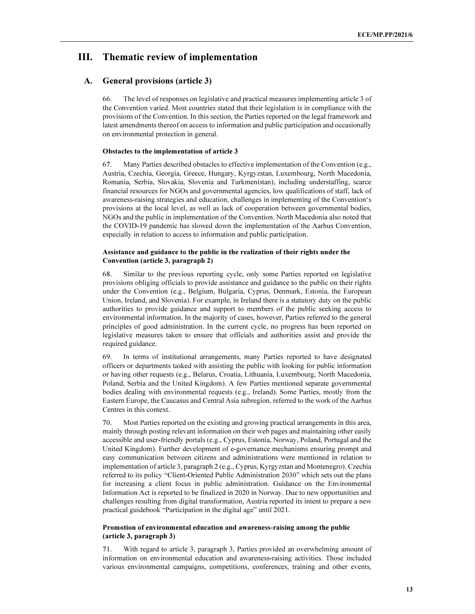## III. Thematic review of implementation

## A. General provisions (article 3)

66. The level of responses on legislative and practical measures implementing article 3 of the Convention varied. Most countries stated that their legislation is in compliance with the provisions of the Convention. In this section, the Parties reported on the legal framework and latest amendments thereof on access to information and public participation and occasionally on environmental protection in general.

#### Obstacles to the implementation of article 3

67. Many Parties described obstacles to effective implementation of the Convention (e.g., Austria, Czechia, Georgia, Greece, Hungary, Kyrgyzstan, Luxembourg, North Macedonia, Romania, Serbia, Slovakia, Slovenia and Turkmenistan), including understaffing, scarce financial resources for NGOs and governmental agencies, low qualifications of staff, lack of awareness-raising strategies and education, challenges in implementing of the Convention's provisions at the local level, as well as lack of cooperation between governmental bodies, NGOs and the public in implementation of the Convention. North Macedonia also noted that the COVID-19 pandemic has slowed down the implementation of the Aarhus Convention, especially in relation to access to information and public participation.

## Assistance and guidance to the public in the realization of their rights under the Convention (article 3, paragraph 2)

Similar to the previous reporting cycle, only some Parties reported on legislative provisions obliging officials to provide assistance and guidance to the public on their rights under the Convention (e.g., Belgium, Bulgaria, Cyprus, Denmark, Estonia, the European Union, Ireland, and Slovenia). For example, in Ireland there is a statutory duty on the public authorities to provide guidance and support to members of the public seeking access to environmental information. In the majority of cases, however, Parties referred to the general principles of good administration. In the current cycle, no progress has been reported on legislative measures taken to ensure that officials and authorities assist and provide the required guidance.

69. In terms of institutional arrangements, many Parties reported to have designated officers or departments tasked with assisting the public with looking for public information or having other requests (e.g., Belarus, Croatia, Lithuania, Luxembourg, North Macedonia, Poland, Serbia and the United Kingdom). A few Parties mentioned separate governmental bodies dealing with environmental requests (e.g., Ireland). Some Parties, mostly from the Eastern Europe, the Caucasus and Central Asia subregion, referred to the work of the Aarhus Centres in this context.

70. Most Parties reported on the existing and growing practical arrangements in this area, mainly through posting relevant information on their web pages and maintaining other easily accessible and user-friendly portals (e.g., Cyprus, Estonia, Norway, Poland, Portugal and the United Kingdom). Further development of e-governance mechanisms ensuring prompt and easy communication between citizens and administrations were mentioned in relation to implementation of article 3, paragraph 2 (e.g., Cyprus, Kyrgyzstan and Montenegro). Czechia referred to its policy "Client-Oriented Public Administration 2030" which sets out the plans for increasing a client focus in public administration. Guidance on the Environmental Information Act is reported to be finalized in 2020 in Norway. Due to new opportunities and challenges resulting from digital transformation, Austria reported its intent to prepare a new practical guidebook "Participation in the digital age" until 2021.

#### Promotion of environmental education and awareness-raising among the public (article 3, paragraph 3)

71. With regard to article 3, paragraph 3, Parties provided an overwhelming amount of information on environmental education and awareness-raising activities. Those included various environmental campaigns, competitions, conferences, training and other events,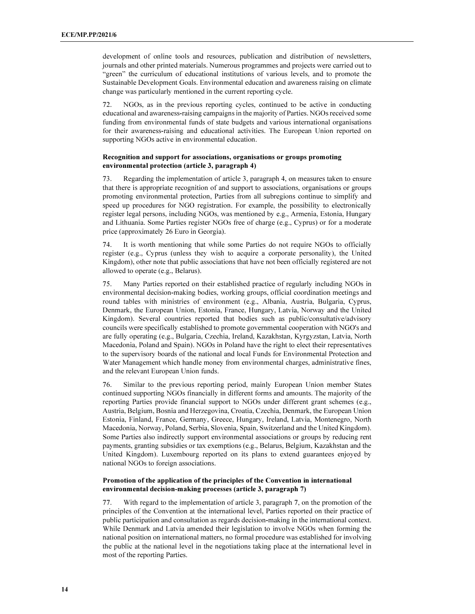development of online tools and resources, publication and distribution of newsletters, journals and other printed materials. Numerous programmes and projects were carried out to "green" the curriculum of educational institutions of various levels, and to promote the Sustainable Development Goals. Environmental education and awareness raising on climate change was particularly mentioned in the current reporting cycle.

72. NGOs, as in the previous reporting cycles, continued to be active in conducting educational and awareness-raising campaigns in the majority of Parties. NGOs received some funding from environmental funds of state budgets and various international organisations for their awareness-raising and educational activities. The European Union reported on supporting NGOs active in environmental education.

## Recognition and support for associations, organisations or groups promoting environmental protection (article 3, paragraph 4)

73. Regarding the implementation of article 3, paragraph 4, on measures taken to ensure that there is appropriate recognition of and support to associations, organisations or groups promoting environmental protection, Parties from all subregions continue to simplify and speed up procedures for NGO registration. For example, the possibility to electronically register legal persons, including NGOs, was mentioned by e.g., Armenia, Estonia, Hungary and Lithuania. Some Parties register NGOs free of charge (e.g., Cyprus) or for a moderate price (approximately 26 Euro in Georgia).

74. It is worth mentioning that while some Parties do not require NGOs to officially register (e.g., Cyprus (unless they wish to acquire a corporate personality), the United Kingdom), other note that public associations that have not been officially registered are not allowed to operate (e.g., Belarus).

75. Many Parties reported on their established practice of regularly including NGOs in environmental decision-making bodies, working groups, official coordination meetings and round tables with ministries of environment (e.g., Albania, Austria, Bulgaria, Cyprus, Denmark, the European Union, Estonia, France, Hungary, Latvia, Norway and the United Kingdom). Several countries reported that bodies such as public/consultative/advisory councils were specifically established to promote governmental cooperation with NGO's and are fully operating (e.g., Bulgaria, Czechia, Ireland, Kazakhstan, Kyrgyzstan, Latvia, North Macedonia, Poland and Spain). NGOs in Poland have the right to elect their representatives to the supervisory boards of the national and local Funds for Environmental Protection and Water Management which handle money from environmental charges, administrative fines, and the relevant European Union funds.

76. Similar to the previous reporting period, mainly European Union member States continued supporting NGOs financially in different forms and amounts. The majority of the reporting Parties provide financial support to NGOs under different grant schemes (e.g., Austria, Belgium, Bosnia and Herzegovina, Croatia, Czechia, Denmark, the European Union Estonia, Finland, France, Germany, Greece, Hungary, Ireland, Latvia, Montenegro, North Macedonia, Norway, Poland, Serbia, Slovenia, Spain, Switzerland and the United Kingdom). Some Parties also indirectly support environmental associations or groups by reducing rent payments, granting subsidies or tax exemptions (e.g., Belarus, Belgium, Kazakhstan and the United Kingdom). Luxembourg reported on its plans to extend guarantees enjoyed by national NGOs to foreign associations.

#### Promotion of the application of the principles of the Convention in international environmental decision-making processes (article 3, paragraph 7)

77. With regard to the implementation of article 3, paragraph 7, on the promotion of the principles of the Convention at the international level, Parties reported on their practice of public participation and consultation as regards decision-making in the international context. While Denmark and Latvia amended their legislation to involve NGOs when forming the national position on international matters, no formal procedure was established for involving the public at the national level in the negotiations taking place at the international level in most of the reporting Parties.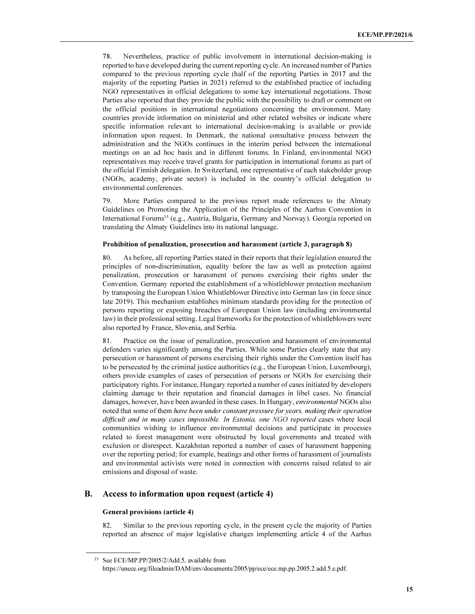78. Nevertheless, practice of public involvement in international decision-making is reported to have developed during the current reporting cycle. An increased number of Parties compared to the previous reporting cycle (half of the reporting Parties in 2017 and the majority of the reporting Parties in 2021) referred to the established practice of including NGO representatives in official delegations to some key international negotiations. Those Parties also reported that they provide the public with the possibility to draft or comment on the official positions in international negotiations concerning the environment. Many countries provide information on ministerial and other related websites or indicate where specific information relevant to international decision-making is available or provide information upon request. In Denmark, the national consultative process between the administration and the NGOs continues in the interim period between the international meetings on an ad hoc basis and in different forums. In Finland, environmental NGO representatives may receive travel grants for participation in international forums as part of the official Finnish delegation. In Switzerland, one representative of each stakeholder group (NGOs, academy, private sector) is included in the country's official delegation to environmental conferences.

79. More Parties compared to the previous report made references to the Almaty Guidelines on Promoting the Application of the Principles of the Aarhus Convention in International Forums<sup>15</sup> (e.g., Austria, Bulgaria, Germany and Norway). Georgia reported on translating the Almaty Guidelines into its national language.

#### Prohibition of penalization, prosecution and harassment (article 3, paragraph 8)

As before, all reporting Parties stated in their reports that their legislation ensured the principles of non-discrimination, equality before the law as well as protection against penalization, prosecution or harassment of persons exercising their rights under the Convention. Germany reported the establishment of a whistleblower protection mechanism by transposing the European Union Whistleblower Directive into German law (in force since late 2019). This mechanism establishes minimum standards providing for the protection of persons reporting or exposing breaches of European Union law (including environmental law) in their professional setting. Legal frameworks for the protection of whistleblowers were also reported by France, Slovenia, and Serbia.

81. Practice on the issue of penalization, prosecution and harassment of environmental defenders varies significantly among the Parties. While some Parties clearly state that any persecution or harassment of persons exercising their rights under the Convention itself has to be persecuted by the criminal justice authorities (e.g., the European Union, Luxembourg), others provide examples of cases of persecution of persons or NGOs for exercising their participatory rights. For instance, Hungary reported a number of cases initiated by developers claiming damage to their reputation and financial damages in libel cases. No financial damages, however, have been awarded in these cases. In Hungary, environmental NGOs also noted that some of them have been under constant pressure for years, making their operation difficult and in many cases impossible. In Estonia, one NGO reported cases where local communities wishing to influence environmental decisions and participate in processes related to forest management were obstructed by local governments and treated with exclusion or disrespect. Kazakhstan reported a number of cases of harassment happening over the reporting period; for example, beatings and other forms of harassment of journalists and environmental activists were noted in connection with concerns raised related to air emissions and disposal of waste.

## B. Access to information upon request (article 4)

#### General provisions (article 4)

ı

82. Similar to the previous reporting cycle, in the present cycle the majority of Parties reported an absence of major legislative changes implementing article 4 of the Aarhus

<sup>&</sup>lt;sup>15</sup> See ECE/MP.PP/2005/2/Add.5, available from https://unece.org/fileadmin/DAM/env/documents/2005/pp/ece/ece.mp.pp.2005.2.add.5.e.pdf.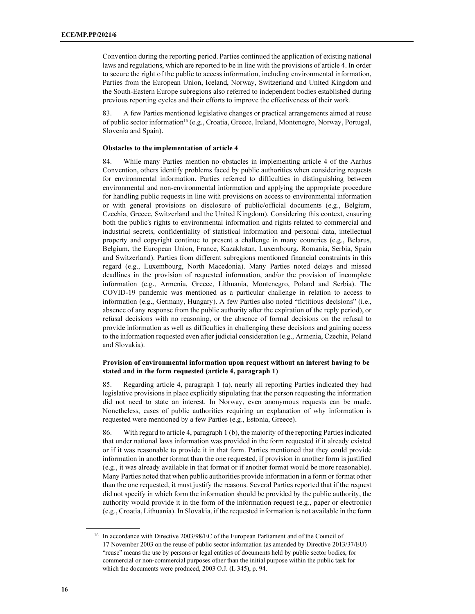Convention during the reporting period. Parties continued the application of existing national laws and regulations, which are reported to be in line with the provisions of article 4. In order to secure the right of the public to access information, including environmental information, Parties from the European Union, Iceland, Norway, Switzerland and United Kingdom and the South-Eastern Europe subregions also referred to independent bodies established during previous reporting cycles and their efforts to improve the effectiveness of their work.

83. A few Parties mentioned legislative changes or practical arrangements aimed at reuse of public sector information<sup>16</sup> (e.g., Croatia, Greece, Ireland, Montenegro, Norway, Portugal, Slovenia and Spain).

#### Obstacles to the implementation of article 4

84. While many Parties mention no obstacles in implementing article 4 of the Aarhus Convention, others identify problems faced by public authorities when considering requests for environmental information. Parties referred to difficulties in distinguishing between environmental and non-environmental information and applying the appropriate procedure for handling public requests in line with provisions on access to environmental information or with general provisions on disclosure of public/official documents (e.g., Belgium, Czechia, Greece, Switzerland and the United Kingdom). Considering this context, ensuring both the public's rights to environmental information and rights related to commercial and industrial secrets, confidentiality of statistical information and personal data, intellectual property and copyright continue to present a challenge in many countries (e.g., Belarus, Belgium, the European Union, France, Kazakhstan, Luxembourg, Romania, Serbia, Spain and Switzerland). Parties from different subregions mentioned financial constraints in this regard (e.g., Luxembourg, North Macedonia). Many Parties noted delays and missed deadlines in the provision of requested information, and/or the provision of incomplete information (e.g., Armenia, Greece, Lithuania, Montenegro, Poland and Serbia). The COVID-19 pandemic was mentioned as a particular challenge in relation to access to information (e.g., Germany, Hungary). A few Parties also noted "fictitious decisions" (i.e., absence of any response from the public authority after the expiration of the reply period), or refusal decisions with no reasoning, or the absence of formal decisions on the refusal to provide information as well as difficulties in challenging these decisions and gaining access to the information requested even after judicial consideration (e.g., Armenia, Czechia, Poland and Slovakia).

## Provision of environmental information upon request without an interest having to be stated and in the form requested (article 4, paragraph 1)

85. Regarding article 4, paragraph 1 (a), nearly all reporting Parties indicated they had legislative provisions in place explicitly stipulating that the person requesting the information did not need to state an interest. In Norway, even anonymous requests can be made. Nonetheless, cases of public authorities requiring an explanation of why information is requested were mentioned by a few Parties (e.g., Estonia, Greece).

86. With regard to article 4, paragraph 1 (b), the majority of the reporting Parties indicated that under national laws information was provided in the form requested if it already existed or if it was reasonable to provide it in that form. Parties mentioned that they could provide information in another format than the one requested, if provision in another form is justified (e.g., it was already available in that format or if another format would be more reasonable). Many Parties noted that when public authorities provide information in a form or format other than the one requested, it must justify the reasons. Several Parties reported that if the request did not specify in which form the information should be provided by the public authority, the authority would provide it in the form of the information request (e.g., paper or electronic) (e.g., Croatia, Lithuania). In Slovakia, if the requested information is not available in the form

<sup>&</sup>lt;sup>16</sup> In accordance with Directive 2003/98/EC of the European Parliament and of the Council of 17 November 2003 on the reuse of public sector information (as amended by Directive 2013/37/EU) "reuse" means the use by persons or legal entities of documents held by public sector bodies, for commercial or non-commercial purposes other than the initial purpose within the public task for which the documents were produced, 2003 O.J. (L 345), p. 94.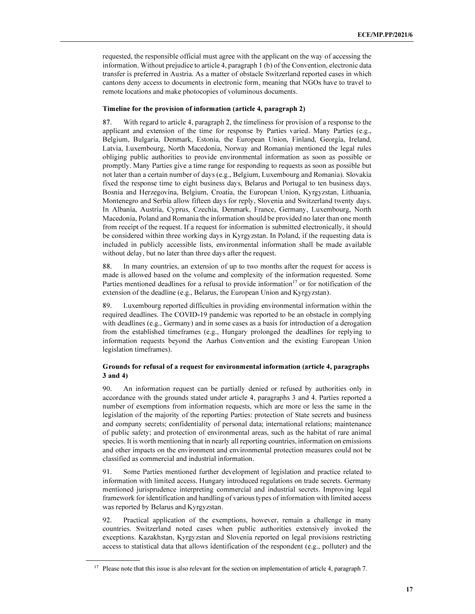requested, the responsible official must agree with the applicant on the way of accessing the information. Without prejudice to article 4, paragraph 1 (b) of the Convention, electronic data transfer is preferred in Austria. As a matter of obstacle Switzerland reported cases in which cantons deny access to documents in electronic form, meaning that NGOs have to travel to remote locations and make photocopies of voluminous documents.

#### Timeline for the provision of information (article 4, paragraph 2)

87. With regard to article 4, paragraph 2, the timeliness for provision of a response to the applicant and extension of the time for response by Parties varied. Many Parties (e.g., Belgium, Bulgaria, Denmark, Estonia, the European Union, Finland, Georgia, Ireland, Latvia, Luxembourg, North Macedonia, Norway and Romania) mentioned the legal rules obliging public authorities to provide environmental information as soon as possible or promptly. Many Parties give a time range for responding to requests as soon as possible but not later than a certain number of days (e.g., Belgium, Luxembourg and Romania). Slovakia fixed the response time to eight business days, Belarus and Portugal to ten business days. Bosnia and Herzegovina, Belgium, Croatia, the European Union, Kyrgyzstan, Lithuania, Montenegro and Serbia allow fifteen days for reply, Slovenia and Switzerland twenty days. In Albania, Austria, Cyprus, Czechia, Denmark, France, Germany, Luxembourg, North Macedonia, Poland and Romania the information should be provided no later than one month from receipt of the request. If a request for information is submitted electronically, it should be considered within three working days in Kyrgyzstan. In Poland, if the requesting data is included in publicly accessible lists, environmental information shall be made available without delay, but no later than three days after the request.

88. In many countries, an extension of up to two months after the request for access is made is allowed based on the volume and complexity of the information requested. Some Parties mentioned deadlines for a refusal to provide information $17$  or for notification of the extension of the deadline (e.g., Belarus, the European Union and Kyrgyzstan).

89. Luxembourg reported difficulties in providing environmental information within the required deadlines. The COVID-19 pandemic was reported to be an obstacle in complying with deadlines (e.g., Germany) and in some cases as a basis for introduction of a derogation from the established timeframes (e.g., Hungary prolonged the deadlines for replying to information requests beyond the Aarhus Convention and the existing European Union legislation timeframes).

## Grounds for refusal of a request for environmental information (article 4, paragraphs 3 and 4)

90. An information request can be partially denied or refused by authorities only in accordance with the grounds stated under article 4, paragraphs 3 and 4. Parties reported a number of exemptions from information requests, which are more or less the same in the legislation of the majority of the reporting Parties: protection of State secrets and business and company secrets; confidentiality of personal data; international relations; maintenance of public safety; and protection of environmental areas, such as the habitat of rare animal species. It is worth mentioning that in nearly all reporting countries, information on emissions and other impacts on the environment and environmental protection measures could not be classified as commercial and industrial information.

91. Some Parties mentioned further development of legislation and practice related to information with limited access. Hungary introduced regulations on trade secrets. Germany mentioned jurisprudence interpreting commercial and industrial secrets. Improving legal framework for identification and handling of various types of information with limited access was reported by Belarus and Kyrgyzstan.

92. Practical application of the exemptions, however, remain a challenge in many countries. Switzerland noted cases when public authorities extensively invoked the exceptions. Kazakhstan, Kyrgyzstan and Slovenia reported on legal provisions restricting access to statistical data that allows identification of the respondent (e.g., polluter) and the

<sup>&</sup>lt;sup>17</sup> Please note that this issue is also relevant for the section on implementation of article 4, paragraph 7.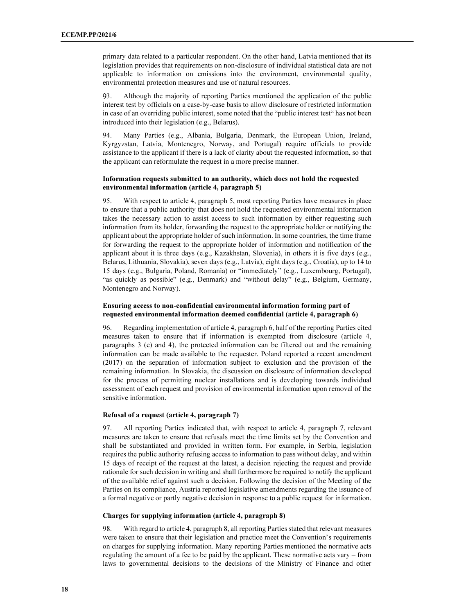primary data related to a particular respondent. On the other hand, Latvia mentioned that its legislation provides that requirements on non-disclosure of individual statistical data are not applicable to information on emissions into the environment, environmental quality, environmental protection measures and use of natural resources.

3. Although the majority of reporting Parties mentioned the application of the public interest test by officials on a case-by-case basis to allow disclosure of restricted information in case of an overriding public interest, some noted that the "public interest test" has not been introduced into their legislation (e.g., Belarus).

94. Many Parties (e.g., Albania, Bulgaria, Denmark, the European Union, Ireland, Kyrgyzstan, Latvia, Montenegro, Norway, and Portugal) require officials to provide assistance to the applicant if there is a lack of clarity about the requested information, so that the applicant can reformulate the request in a more precise manner.

## Information requests submitted to an authority, which does not hold the requested environmental information (article 4, paragraph 5)

95. With respect to article 4, paragraph 5, most reporting Parties have measures in place to ensure that a public authority that does not hold the requested environmental information takes the necessary action to assist access to such information by either requesting such information from its holder, forwarding the request to the appropriate holder or notifying the applicant about the appropriate holder of such information. In some countries, the time frame for forwarding the request to the appropriate holder of information and notification of the applicant about it is three days (e.g., Kazakhstan, Slovenia), in others it is five days (e.g., Belarus, Lithuania, Slovakia), seven days (e.g., Latvia), eight days (e.g., Croatia), up to 14 to 15 days (e.g., Bulgaria, Poland, Romania) or "immediately" (e.g., Luxembourg, Portugal), "as quickly as possible" (e.g., Denmark) and "without delay" (e.g., Belgium, Germany, Montenegro and Norway).

## Ensuring access to non-confidential environmental information forming part of requested environmental information deemed confidential (article 4, paragraph 6)

96. Regarding implementation of article 4, paragraph 6, half of the reporting Parties cited measures taken to ensure that if information is exempted from disclosure (article 4, paragraphs 3 (c) and 4), the protected information can be filtered out and the remaining information can be made available to the requester. Poland reported a recent amendment (2017) on the separation of information subject to exclusion and the provision of the remaining information. In Slovakia, the discussion on disclosure of information developed for the process of permitting nuclear installations and is developing towards individual assessment of each request and provision of environmental information upon removal of the sensitive information.

#### Refusal of a request (article 4, paragraph 7)

97. All reporting Parties indicated that, with respect to article 4, paragraph 7, relevant measures are taken to ensure that refusals meet the time limits set by the Convention and shall be substantiated and provided in written form. For example, in Serbia, legislation requires the public authority refusing access to information to pass without delay, and within 15 days of receipt of the request at the latest, a decision rejecting the request and provide rationale for such decision in writing and shall furthermore be required to notify the applicant of the available relief against such a decision. Following the decision of the Meeting of the Parties on its compliance, Austria reported legislative amendments regarding the issuance of a formal negative or partly negative decision in response to a public request for information.

## Charges for supplying information (article 4, paragraph 8)

98. With regard to article 4, paragraph 8, all reporting Parties stated that relevant measures were taken to ensure that their legislation and practice meet the Convention's requirements on charges for supplying information. Many reporting Parties mentioned the normative acts regulating the amount of a fee to be paid by the applicant. These normative acts vary – from laws to governmental decisions to the decisions of the Ministry of Finance and other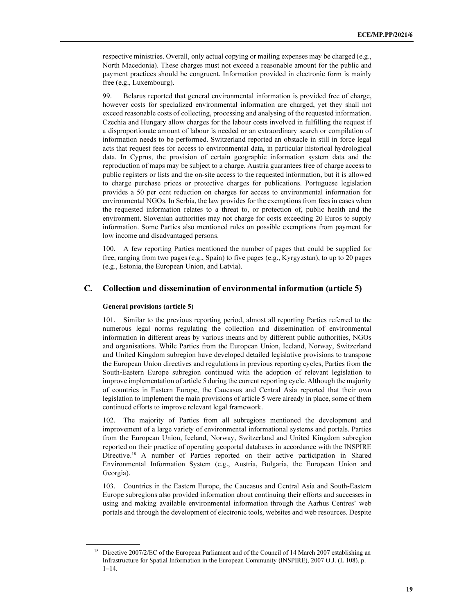respective ministries. Overall, only actual copying or mailing expenses may be charged (e.g., North Macedonia). These charges must not exceed a reasonable amount for the public and payment practices should be congruent. Information provided in electronic form is mainly free (e.g., Luxembourg).

99. Belarus reported that general environmental information is provided free of charge, however costs for specialized environmental information are charged, yet they shall not exceed reasonable costs of collecting, processing and analysing of the requested information. Czechia and Hungary allow charges for the labour costs involved in fulfilling the request if a disproportionate amount of labour is needed or an extraordinary search or compilation of information needs to be performed. Switzerland reported an obstacle in still in force legal acts that request fees for access to environmental data, in particular historical hydrological data. In Cyprus, the provision of certain geographic information system data and the reproduction of maps may be subject to a charge. Austria guarantees free of charge access to public registers or lists and the on-site access to the requested information, but it is allowed to charge purchase prices or protective charges for publications. Portuguese legislation provides a 50 per cent reduction on charges for access to environmental information for environmental NGOs. In Serbia, the law provides for the exemptions from fees in cases when the requested information relates to a threat to, or protection of, public health and the environment. Slovenian authorities may not charge for costs exceeding 20 Euros to supply information. Some Parties also mentioned rules on possible exemptions from payment for low income and disadvantaged persons.

100. A few reporting Parties mentioned the number of pages that could be supplied for free, ranging from two pages (e.g., Spain) to five pages (e.g., Kyrgyzstan), to up to 20 pages (e.g., Estonia, the European Union, and Latvia).

## C. Collection and dissemination of environmental information (article 5)

#### General provisions (article 5)

ı

101. Similar to the previous reporting period, almost all reporting Parties referred to the numerous legal norms regulating the collection and dissemination of environmental information in different areas by various means and by different public authorities, NGOs and organisations. While Parties from the European Union, Iceland, Norway, Switzerland and United Kingdom subregion have developed detailed legislative provisions to transpose the European Union directives and regulations in previous reporting cycles, Parties from the South-Eastern Europe subregion continued with the adoption of relevant legislation to improve implementation of article 5 during the current reporting cycle. Although the majority of countries in Eastern Europe, the Caucasus and Central Asia reported that their own legislation to implement the main provisions of article 5 were already in place, some of them continued efforts to improve relevant legal framework.

102. The majority of Parties from all subregions mentioned the development and improvement of a large variety of environmental informational systems and portals. Parties from the European Union, Iceland, Norway, Switzerland and United Kingdom subregion reported on their practice of operating geoportal databases in accordance with the INSPIRE Directive.<sup>18</sup> A number of Parties reported on their active participation in Shared Environmental Information System (e.g., Austria, Bulgaria, the European Union and Georgia).

103. Countries in the Eastern Europe, the Caucasus and Central Asia and South-Eastern Europe subregions also provided information about continuing their efforts and successes in using and making available environmental information through the Aarhus Centres' web portals and through the development of electronic tools, websites and web resources. Despite

<sup>&</sup>lt;sup>18</sup> Directive 2007/2/EC of the European Parliament and of the Council of 14 March 2007 establishing an Infrastructure for Spatial Information in the European Community (INSPIRE), 2007 O.J. (L 108), p. 1–14.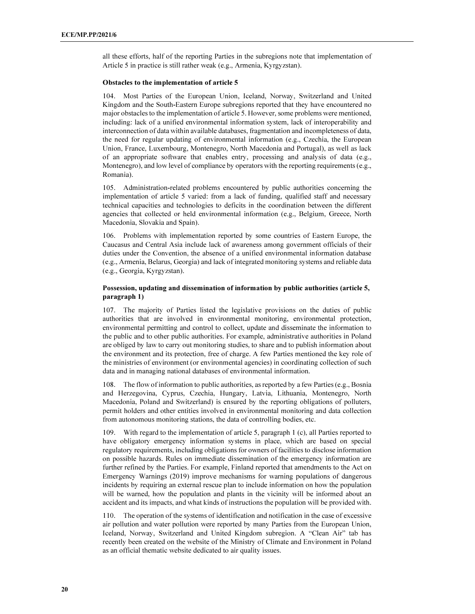all these efforts, half of the reporting Parties in the subregions note that implementation of Article 5 in practice is still rather weak (e.g., Armenia, Kyrgyzstan).

#### Obstacles to the implementation of article 5

104. Most Parties of the European Union, Iceland, Norway, Switzerland and United Kingdom and the South-Eastern Europe subregions reported that they have encountered no major obstacles to the implementation of article 5. However, some problems were mentioned, including: lack of a unified environmental information system, lack of interoperability and interconnection of data within available databases, fragmentation and incompleteness of data, the need for regular updating of environmental information (e.g., Czechia, the European Union, France, Luxembourg, Montenegro, North Macedonia and Portugal), as well as lack of an appropriate software that enables entry, processing and analysis of data (e.g., Montenegro), and low level of compliance by operators with the reporting requirements (e.g., Romania).

105. Administration-related problems encountered by public authorities concerning the implementation of article 5 varied: from a lack of funding, qualified staff and necessary technical capacities and technologies to deficits in the coordination between the different agencies that collected or held environmental information (e.g., Belgium, Greece, North Macedonia, Slovakia and Spain).

106. Problems with implementation reported by some countries of Eastern Europe, the Caucasus and Central Asia include lack of awareness among government officials of their duties under the Convention, the absence of a unified environmental information database (e.g., Armenia, Belarus, Georgia) and lack of integrated monitoring systems and reliable data (e.g., Georgia, Kyrgyzstan).

### Possession, updating and dissemination of information by public authorities (article 5, paragraph 1)

107. The majority of Parties listed the legislative provisions on the duties of public authorities that are involved in environmental monitoring, environmental protection, environmental permitting and control to collect, update and disseminate the information to the public and to other public authorities. For example, administrative authorities in Poland are obliged by law to carry out monitoring studies, to share and to publish information about the environment and its protection, free of charge. A few Parties mentioned the key role of the ministries of environment (or environmental agencies) in coordinating collection of such data and in managing national databases of environmental information.

108. The flow of information to public authorities, as reported by a few Parties (e.g., Bosnia and Herzegovina, Cyprus, Czechia, Hungary, Latvia, Lithuania, Montenegro, North Macedonia, Poland and Switzerland) is ensured by the reporting obligations of polluters, permit holders and other entities involved in environmental monitoring and data collection from autonomous monitoring stations, the data of controlling bodies, etc.

109. With regard to the implementation of article 5, paragraph 1 (c), all Parties reported to have obligatory emergency information systems in place, which are based on special regulatory requirements, including obligations for owners of facilities to disclose information on possible hazards. Rules on immediate dissemination of the emergency information are further refined by the Parties. For example, Finland reported that amendments to the Act on Emergency Warnings (2019) improve mechanisms for warning populations of dangerous incidents by requiring an external rescue plan to include information on how the population will be warned, how the population and plants in the vicinity will be informed about an accident and its impacts, and what kinds of instructions the population will be provided with.

110. The operation of the systems of identification and notification in the case of excessive air pollution and water pollution were reported by many Parties from the European Union, Iceland, Norway, Switzerland and United Kingdom subregion. A "Clean Air" tab has recently been created on the website of the Ministry of Climate and Environment in Poland as an official thematic website dedicated to air quality issues.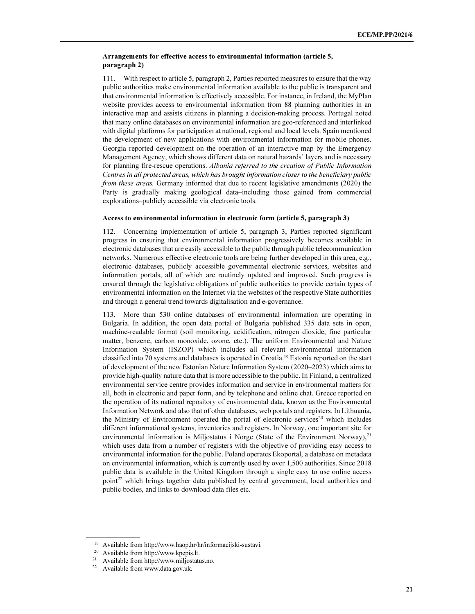## Arrangements for effective access to environmental information (article 5, paragraph 2)

111. With respect to article 5, paragraph 2, Parties reported measures to ensure that the way public authorities make environmental information available to the public is transparent and that environmental information is effectively accessible. For instance, in Ireland, the MyPlan website provides access to environmental information from 88 planning authorities in an interactive map and assists citizens in planning a decision-making process. Portugal noted that many online databases on environmental information are geo-referenced and interlinked with digital platforms for participation at national, regional and local levels. Spain mentioned the development of new applications with environmental information for mobile phones. Georgia reported development on the operation of an interactive map by the Emergency Management Agency, which shows different data on natural hazards' layers and is necessary for planning fire-rescue operations. Albania referred to the creation of Public Information Centres in all protected areas, which has brought information closer to the beneficiary public from these areas. Germany informed that due to recent legislative amendments (2020) the Party is gradually making geological data–including those gained from commercial explorations–publicly accessible via electronic tools.

#### Access to environmental information in electronic form (article 5, paragraph 3)

112. Concerning implementation of article 5, paragraph 3, Parties reported significant progress in ensuring that environmental information progressively becomes available in electronic databases that are easily accessible to the public through public telecommunication networks. Numerous effective electronic tools are being further developed in this area, e.g., electronic databases, publicly accessible governmental electronic services, websites and information portals, all of which are routinely updated and improved. Such progress is ensured through the legislative obligations of public authorities to provide certain types of environmental information on the Internet via the websites of the respective State authorities and through a general trend towards digitalisation and e-governance.

113. More than 530 online databases of environmental information are operating in Bulgaria. In addition, the open data portal of Bulgaria published 335 data sets in open, machine-readable format (soil monitoring, acidification, nitrogen dioxide, fine particular matter, benzene, carbon monoxide, ozone, etc.). The uniform Environmental and Nature Information System (ISZOP) which includes all relevant environmental information classified into 70 systems and databases is operated in Croatia.<sup>19</sup> Estonia reported on the start of development of the new Estonian Nature Information System (2020–2023) which aims to provide high-quality nature data that is more accessible to the public. In Finland, a centralized environmental service centre provides information and service in environmental matters for all, both in electronic and paper form, and by telephone and online chat. Greece reported on the operation of its national repository of environmental data, known as the Environmental Information Network and also that of other databases, web portals and registers. In Lithuania, the Ministry of Environment operated the portal of electronic services<sup>20</sup> which includes different informational systems, inventories and registers. In Norway, one important site for environmental information is Miljøstatus i Norge (State of the Environment Norway), $^{21}$ which uses data from a number of registers with the objective of providing easy access to environmental information for the public. Poland operates Ekoportal, a database on metadata on environmental information, which is currently used by over 1,500 authorities. Since 2018 public data is available in the United Kingdom through a single easy to use online access point<sup>22</sup> which brings together data published by central government, local authorities and public bodies, and links to download data files etc.

 $\overline{a}$ 

<sup>19</sup> Available from http://www.haop.hr/hr/informacijski-sustavi.

<sup>20</sup> Available from http://www.kpepis.lt.

<sup>21</sup> Available from http://www.miljostatus.no.

<sup>22</sup> Available from www.data.gov.uk.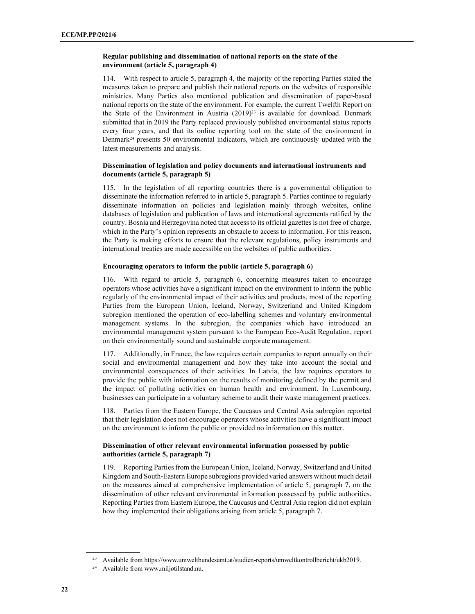## Regular publishing and dissemination of national reports on the state of the environment (article 5, paragraph 4)

114. With respect to article 5, paragraph 4, the majority of the reporting Parties stated the measures taken to prepare and publish their national reports on the websites of responsible ministries. Many Parties also mentioned publication and dissemination of paper-based national reports on the state of the environment. For example, the current Twelfth Report on the State of the Environment in Austria  $(2019)^{23}$  is available for download. Denmark submitted that in 2019 the Party replaced previously published environmental status reports every four years, and that its online reporting tool on the state of the environment in Denmark<sup>24</sup> presents 50 environmental indicators, which are continuously updated with the latest measurements and analysis.

## Dissemination of legislation and policy documents and international instruments and documents (article 5, paragraph 5)

115. In the legislation of all reporting countries there is a governmental obligation to disseminate the information referred to in article 5, paragraph 5. Parties continue to regularly disseminate information on policies and legislation mainly through websites, online databases of legislation and publication of laws and international agreements ratified by the country. Bosnia and Herzegovina noted that access to its official gazettes is not free of charge, which in the Party's opinion represents an obstacle to access to information. For this reason, the Party is making efforts to ensure that the relevant regulations, policy instruments and international treaties are made accessible on the websites of public authorities.

#### Encouraging operators to inform the public (article 5, paragraph 6)

116. With regard to article 5, paragraph 6, concerning measures taken to encourage operators whose activities have a significant impact on the environment to inform the public regularly of the environmental impact of their activities and products, most of the reporting Parties from the European Union, Iceland, Norway, Switzerland and United Kingdom subregion mentioned the operation of eco-labelling schemes and voluntary environmental management systems. In the subregion, the companies which have introduced an environmental management system pursuant to the European Eco-Audit Regulation, report on their environmentally sound and sustainable corporate management.

117. Additionally, in France, the law requires certain companies to report annually on their social and environmental management and how they take into account the social and environmental consequences of their activities. In Latvia, the law requires operators to provide the public with information on the results of monitoring defined by the permit and the impact of polluting activities on human health and environment. In Luxembourg, businesses can participate in a voluntary scheme to audit their waste management practices.

118. Parties from the Eastern Europe, the Caucasus and Central Asia subregion reported that their legislation does not encourage operators whose activities have a significant impact on the environment to inform the public or provided no information on this matter.

## Dissemination of other relevant environmental information possessed by public authorities (article 5, paragraph 7)

119. Reporting Parties from the European Union, Iceland, Norway, Switzerland and United Kingdom and South-Eastern Europe subregions provided varied answers without much detail on the measures aimed at comprehensive implementation of article 5, paragraph 7, on the dissemination of other relevant environmental information possessed by public authorities. Reporting Parties from Eastern Europe, the Caucasus and Central Asia region did not explain how they implemented their obligations arising from article 5, paragraph 7.

 $\overline{a}$ 

<sup>23</sup> Available from https://www.umweltbundesamt.at/studien-reports/umweltkontrollbericht/ukb2019.

<sup>24</sup> Available from www.miljøtilstand.nu.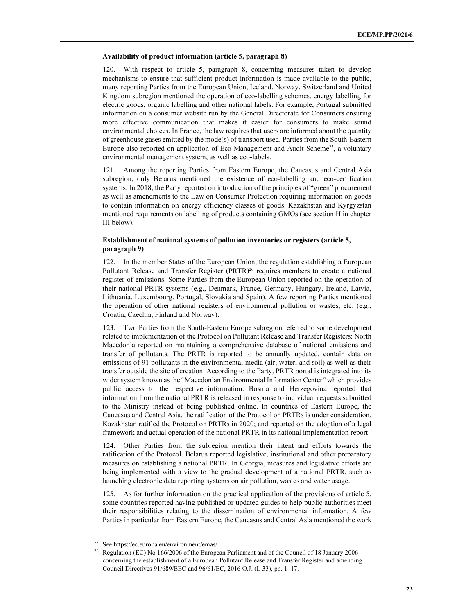#### Availability of product information (article 5, paragraph 8)

120. With respect to article 5, paragraph 8, concerning measures taken to develop mechanisms to ensure that sufficient product information is made available to the public, many reporting Parties from the European Union, Iceland, Norway, Switzerland and United Kingdom subregion mentioned the operation of eco-labelling schemes, energy labelling for electric goods, organic labelling and other national labels. For example, Portugal submitted information on a consumer website run by the General Directorate for Consumers ensuring more effective communication that makes it easier for consumers to make sound environmental choices. In France, the law requires that users are informed about the quantity of greenhouse gases emitted by the mode(s) of transport used. Parties from the South-Eastern Europe also reported on application of Eco-Management and Audit Scheme<sup>25</sup>, a voluntary environmental management system, as well as eco-labels.

121. Among the reporting Parties from Eastern Europe, the Caucasus and Central Asia subregion, only Belarus mentioned the existence of eco-labelling and eco-certification systems. In 2018, the Party reported on introduction of the principles of "green" procurement as well as amendments to the Law on Consumer Protection requiring information on goods to contain information on energy efficiency classes of goods. Kazakhstan and Kyrgyzstan mentioned requirements on labelling of products containing GMOs (see section H in chapter III below).

### Establishment of national systems of pollution inventories or registers (article 5, paragraph 9)

122. In the member States of the European Union, the regulation establishing a European Pollutant Release and Transfer Register (PRTR)<sup>26</sup> requires members to create a national register of emissions. Some Parties from the European Union reported on the operation of their national PRTR systems (e.g., Denmark, France, Germany, Hungary, Ireland, Latvia, Lithuania, Luxembourg, Portugal, Slovakia and Spain). A few reporting Parties mentioned the operation of other national registers of environmental pollution or wastes, etc. (e.g., Croatia, Czechia, Finland and Norway).

123. Two Parties from the South-Eastern Europe subregion referred to some development related to implementation of the Protocol on Pollutant Release and Transfer Registers: North Macedonia reported on maintaining a comprehensive database of national emissions and transfer of pollutants. The PRTR is reported to be annually updated, contain data on emissions of 91 pollutants in the environmental media (air, water, and soil) as well as their transfer outside the site of creation. According to the Party, PRTR portal is integrated into its wider system known as the "Macedonian Environmental Information Center" which provides public access to the respective information. Bosnia and Herzegovina reported that information from the national PRTR is released in response to individual requests submitted to the Ministry instead of being published online. In countries of Eastern Europe, the Caucasus and Central Asia, the ratification of the Protocol on PRTRs is under consideration. Kazakhstan ratified the Protocol on PRTRs in 2020; and reported on the adoption of a legal framework and actual operation of the national PRTR in its national implementation report.

124. Other Parties from the subregion mention their intent and efforts towards the ratification of the Protocol. Belarus reported legislative, institutional and other preparatory measures on establishing a national PRTR. In Georgia, measures and legislative efforts are being implemented with a view to the gradual development of a national PRTR, such as launching electronic data reporting systems on air pollution, wastes and water usage.

125. As for further information on the practical application of the provisions of article 5, some countries reported having published or updated guides to help public authorities meet their responsibilities relating to the dissemination of environmental information. A few Parties in particular from Eastern Europe, the Caucasus and Central Asia mentioned the work

<sup>25</sup> See https://ec.europa.eu/environment/emas/.

<sup>&</sup>lt;sup>26</sup> Regulation (EC) No 166/2006 of the European Parliament and of the Council of 18 January 2006 concerning the establishment of a European Pollutant Release and Transfer Register and amending Council Directives 91/689/EEC and 96/61/EC, 2016 O.J. (L 33), pp. 1–17.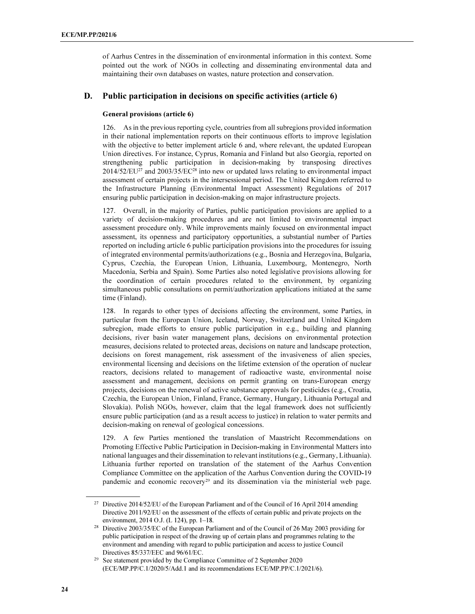of Aarhus Centres in the dissemination of environmental information in this context. Some pointed out the work of NGOs in collecting and disseminating environmental data and maintaining their own databases on wastes, nature protection and conservation.

## D. Public participation in decisions on specific activities (article 6)

## General provisions (article 6)

126. As in the previous reporting cycle, countries from all subregions provided information in their national implementation reports on their continuous efforts to improve legislation with the objective to better implement article 6 and, where relevant, the updated European Union directives. For instance, Cyprus, Romania and Finland but also Georgia, reported on strengthening public participation in decision-making by transposing directives  $2014/52/EU^{27}$  and  $2003/35/EC^{28}$  into new or updated laws relating to environmental impact assessment of certain projects in the intersessional period. The United Kingdom referred to the Infrastructure Planning (Environmental Impact Assessment) Regulations of 2017 ensuring public participation in decision-making on major infrastructure projects.

127. Overall, in the majority of Parties, public participation provisions are applied to a variety of decision-making procedures and are not limited to environmental impact assessment procedure only. While improvements mainly focused on environmental impact assessment, its openness and participatory opportunities, a substantial number of Parties reported on including article 6 public participation provisions into the procedures for issuing of integrated environmental permits/authorizations (e.g., Bosnia and Herzegovina, Bulgaria, Cyprus, Czechia, the European Union, Lithuania, Luxembourg, Montenegro, North Macedonia, Serbia and Spain). Some Parties also noted legislative provisions allowing for the coordination of certain procedures related to the environment, by organizing simultaneous public consultations on permit/authorization applications initiated at the same time (Finland).

128. In regards to other types of decisions affecting the environment, some Parties, in particular from the European Union, Iceland, Norway, Switzerland and United Kingdom subregion, made efforts to ensure public participation in e.g., building and planning decisions, river basin water management plans, decisions on environmental protection measures, decisions related to protected areas, decisions on nature and landscape protection, decisions on forest management, risk assessment of the invasiveness of alien species, environmental licensing and decisions on the lifetime extension of the operation of nuclear reactors, decisions related to management of radioactive waste, environmental noise assessment and management, decisions on permit granting on trans-European energy projects, decisions on the renewal of active substance approvals for pesticides (e.g., Croatia, Czechia, the European Union, Finland, France, Germany, Hungary, Lithuania Portugal and Slovakia). Polish NGOs, however, claim that the legal framework does not sufficiently ensure public participation (and as a result access to justice) in relation to water permits and decision-making on renewal of geological concessions.

129. A few Parties mentioned the translation of Maastricht Recommendations on Promoting Effective Public Participation in Decision-making in Environmental Matters into national languages and their dissemination to relevant institutions (e.g., Germany, Lithuania). Lithuania further reported on translation of the statement of the Aarhus Convention Compliance Committee on the application of the Aarhus Convention during the COVID-19 pandemic and economic recovery<sup>29</sup> and its dissemination via the ministerial web page.

<sup>&</sup>lt;sup>27</sup> Directive 2014/52/EU of the European Parliament and of the Council of 16 April 2014 amending Directive 2011/92/EU on the assessment of the effects of certain public and private projects on the environment, 2014 O.J. (L 124), pp. 1–18.

<sup>28</sup> Directive 2003/35/EC of the European Parliament and of the Council of 26 May 2003 providing for public participation in respect of the drawing up of certain plans and programmes relating to the environment and amending with regard to public participation and access to justice Council Directives 85/337/EEC and 96/61/EC.

<sup>&</sup>lt;sup>29</sup> See statement provided by the Compliance Committee of 2 September 2020 (ECE/MP.PP/C.1/2020/5/Add.1 and its recommendations ECE/MP.PP/C.1/2021/6).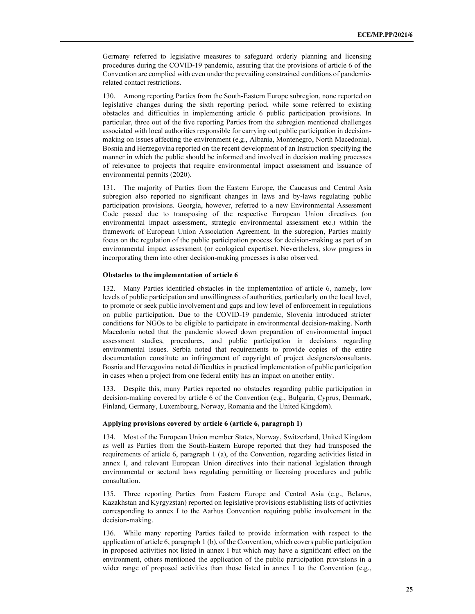Germany referred to legislative measures to safeguard orderly planning and licensing procedures during the COVID-19 pandemic, assuring that the provisions of article 6 of the Convention are complied with even under the prevailing constrained conditions of pandemicrelated contact restrictions.

130. Among reporting Parties from the South-Eastern Europe subregion, none reported on legislative changes during the sixth reporting period, while some referred to existing obstacles and difficulties in implementing article 6 public participation provisions. In particular, three out of the five reporting Parties from the subregion mentioned challenges associated with local authorities responsible for carrying out public participation in decisionmaking on issues affecting the environment (e.g., Albania, Montenegro, North Macedonia). Bosnia and Herzegovina reported on the recent development of an Instruction specifying the manner in which the public should be informed and involved in decision making processes of relevance to projects that require environmental impact assessment and issuance of environmental permits (2020).

131. The majority of Parties from the Eastern Europe, the Caucasus and Central Asia subregion also reported no significant changes in laws and by-laws regulating public participation provisions. Georgia, however, referred to a new Environmental Assessment Code passed due to transposing of the respective European Union directives (on environmental impact assessment, strategic environmental assessment etc.) within the framework of European Union Association Agreement. In the subregion, Parties mainly focus on the regulation of the public participation process for decision-making as part of an environmental impact assessment (or ecological expertise). Nevertheless, slow progress in incorporating them into other decision-making processes is also observed.

#### Obstacles to the implementation of article 6

132. Many Parties identified obstacles in the implementation of article 6, namely, low levels of public participation and unwillingness of authorities, particularly on the local level, to promote or seek public involvement and gaps and low level of enforcement in regulations on public participation. Due to the COVID-19 pandemic, Slovenia introduced stricter conditions for NGOs to be eligible to participate in environmental decision-making. North Macedonia noted that the pandemic slowed down preparation of environmental impact assessment studies, procedures, and public participation in decisions regarding environmental issues. Serbia noted that requirements to provide copies of the entire documentation constitute an infringement of copyright of project designers/consultants. Bosnia and Herzegovina noted difficulties in practical implementation of public participation in cases when a project from one federal entity has an impact on another entity.

133. Despite this, many Parties reported no obstacles regarding public participation in decision-making covered by article 6 of the Convention (e.g., Bulgaria, Cyprus, Denmark, Finland, Germany, Luxembourg, Norway, Romania and the United Kingdom).

#### Applying provisions covered by article 6 (article 6, paragraph 1)

134. Most of the European Union member States, Norway, Switzerland, United Kingdom as well as Parties from the South-Eastern Europe reported that they had transposed the requirements of article 6, paragraph 1 (a), of the Convention, regarding activities listed in annex I, and relevant European Union directives into their national legislation through environmental or sectoral laws regulating permitting or licensing procedures and public consultation.

135. Three reporting Parties from Eastern Europe and Central Asia (e.g., Belarus, Kazakhstan and Kyrgyzstan) reported on legislative provisions establishing lists of activities corresponding to annex I to the Aarhus Convention requiring public involvement in the decision-making.

136. While many reporting Parties failed to provide information with respect to the application of article 6, paragraph 1 (b), of the Convention, which covers public participation in proposed activities not listed in annex I but which may have a significant effect on the environment, others mentioned the application of the public participation provisions in a wider range of proposed activities than those listed in annex I to the Convention (e.g.,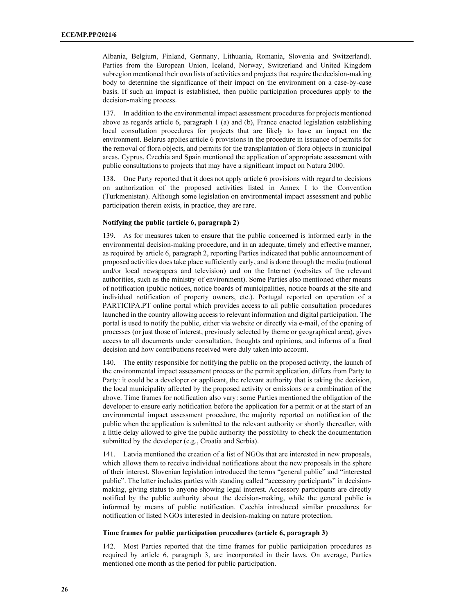Albania, Belgium, Finland, Germany, Lithuania, Romania, Slovenia and Switzerland). Parties from the European Union, Iceland, Norway, Switzerland and United Kingdom subregion mentioned their own lists of activities and projects that require the decision-making body to determine the significance of their impact on the environment on a case-by-case basis. If such an impact is established, then public participation procedures apply to the decision-making process.

137. In addition to the environmental impact assessment procedures for projects mentioned above as regards article 6, paragraph 1 (a) and (b), France enacted legislation establishing local consultation procedures for projects that are likely to have an impact on the environment. Belarus applies article 6 provisions in the procedure in issuance of permits for the removal of flora objects, and permits for the transplantation of flora objects in municipal areas. Cyprus, Czechia and Spain mentioned the application of appropriate assessment with public consultations to projects that may have a significant impact on Natura 2000.

138. One Party reported that it does not apply article 6 provisions with regard to decisions on authorization of the proposed activities listed in Annex I to the Convention (Turkmenistan). Although some legislation on environmental impact assessment and public participation therein exists, in practice, they are rare.

#### Notifying the public (article 6, paragraph 2)

139. As for measures taken to ensure that the public concerned is informed early in the environmental decision-making procedure, and in an adequate, timely and effective manner, as required by article 6, paragraph 2, reporting Parties indicated that public announcement of proposed activities does take place sufficiently early, and is done through the media (national and/or local newspapers and television) and on the Internet (websites of the relevant authorities, such as the ministry of environment). Some Parties also mentioned other means of notification (public notices, notice boards of municipalities, notice boards at the site and individual notification of property owners, etc.). Portugal reported on operation of a PARTICIPA.PT online portal which provides access to all public consultation procedures launched in the country allowing access to relevant information and digital participation. The portal is used to notify the public, either via website or directly via e-mail, of the opening of processes (or just those of interest, previously selected by theme or geographical area), gives access to all documents under consultation, thoughts and opinions, and informs of a final decision and how contributions received were duly taken into account.

140. The entity responsible for notifying the public on the proposed activity, the launch of the environmental impact assessment process or the permit application, differs from Party to Party: it could be a developer or applicant, the relevant authority that is taking the decision, the local municipality affected by the proposed activity or emissions or a combination of the above. Time frames for notification also vary: some Parties mentioned the obligation of the developer to ensure early notification before the application for a permit or at the start of an environmental impact assessment procedure, the majority reported on notification of the public when the application is submitted to the relevant authority or shortly thereafter, with a little delay allowed to give the public authority the possibility to check the documentation submitted by the developer (e.g., Croatia and Serbia).

141. Latvia mentioned the creation of a list of NGOs that are interested in new proposals, which allows them to receive individual notifications about the new proposals in the sphere of their interest. Slovenian legislation introduced the terms "general public" and "interested public". The latter includes parties with standing called "accessory participants" in decisionmaking, giving status to anyone showing legal interest. Accessory participants are directly notified by the public authority about the decision-making, while the general public is informed by means of public notification. Czechia introduced similar procedures for notification of listed NGOs interested in decision-making on nature protection.

#### Time frames for public participation procedures (article 6, paragraph 3)

142. Most Parties reported that the time frames for public participation procedures as required by article 6, paragraph 3, are incorporated in their laws. On average, Parties mentioned one month as the period for public participation.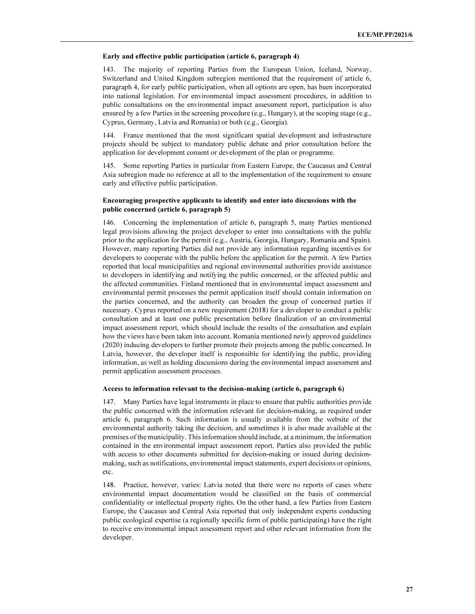#### Early and effective public participation (article 6, paragraph 4)

143. The majority of reporting Parties from the European Union, Iceland, Norway, Switzerland and United Kingdom subregion mentioned that the requirement of article 6, paragraph 4, for early public participation, when all options are open, has been incorporated into national legislation. For environmental impact assessment procedures, in addition to public consultations on the environmental impact assessment report, participation is also ensured by a few Parties in the screening procedure (e.g., Hungary), at the scoping stage (e.g., Cyprus, Germany, Latvia and Romania) or both (e.g., Georgia).

144. France mentioned that the most significant spatial development and infrastructure projects should be subject to mandatory public debate and prior consultation before the application for development consent or development of the plan or programme.

145. Some reporting Parties in particular from Eastern Europe, the Caucasus and Central Asia subregion made no reference at all to the implementation of the requirement to ensure early and effective public participation.

## Encouraging prospective applicants to identify and enter into discussions with the public concerned (article 6, paragraph 5)

146. Concerning the implementation of article 6, paragraph 5, many Parties mentioned legal provisions allowing the project developer to enter into consultations with the public prior to the application for the permit (e.g., Austria, Georgia, Hungary, Romania and Spain). However, many reporting Parties did not provide any information regarding incentives for developers to cooperate with the public before the application for the permit. A few Parties reported that local municipalities and regional environmental authorities provide assistance to developers in identifying and notifying the public concerned, or the affected public and the affected communities. Finland mentioned that in environmental impact assessment and environmental permit processes the permit application itself should contain information on the parties concerned, and the authority can broaden the group of concerned parties if necessary. Cyprus reported on a new requirement (2018) for a developer to conduct a public consultation and at least one public presentation before finalization of an environmental impact assessment report, which should include the results of the consultation and explain how the views have been taken into account. Romania mentioned newly approved guidelines (2020) inducing developers to further promote their projects among the public concerned. In Latvia, however, the developer itself is responsible for identifying the public, providing information, as well as holding discussions during the environmental impact assessment and permit application assessment processes.

#### Access to information relevant to the decision-making (article 6, paragraph 6)

147. Many Parties have legal instruments in place to ensure that public authorities provide the public concerned with the information relevant for decision-making, as required under article 6, paragraph 6. Such information is usually available from the website of the environmental authority taking the decision, and sometimes it is also made available at the premises of the municipality. This information should include, at a minimum, the information contained in the environmental impact assessment report. Parties also provided the public with access to other documents submitted for decision-making or issued during decisionmaking, such as notifications, environmental impact statements, expert decisions or opinions, etc.

148. Practice, however, varies: Latvia noted that there were no reports of cases where environmental impact documentation would be classified on the basis of commercial confidentiality or intellectual property rights. On the other hand, a few Parties from Eastern Europe, the Caucasus and Central Asia reported that only independent experts conducting public ecological expertise (a regionally specific form of public participating) have the right to receive environmental impact assessment report and other relevant information from the developer.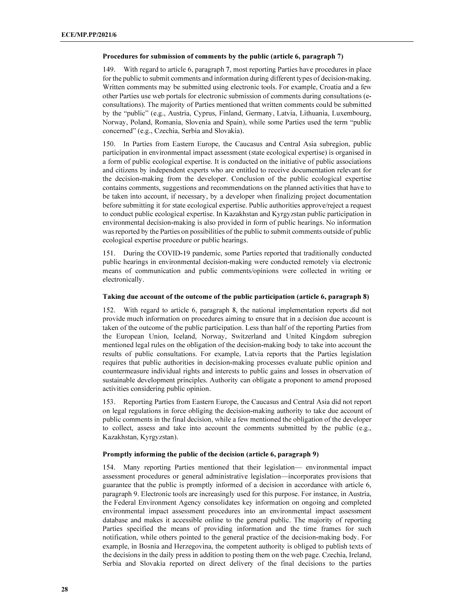#### Procedures for submission of comments by the public (article 6, paragraph 7)

149. With regard to article 6, paragraph 7, most reporting Parties have procedures in place for the public to submit comments and information during different types of decision-making. Written comments may be submitted using electronic tools. For example, Croatia and a few other Parties use web portals for electronic submission of comments during consultations (econsultations). The majority of Parties mentioned that written comments could be submitted by the "public" (e.g., Austria, Cyprus, Finland, Germany, Latvia, Lithuania, Luxembourg, Norway, Poland, Romania, Slovenia and Spain), while some Parties used the term "public concerned" (e.g., Czechia, Serbia and Slovakia).

150. In Parties from Eastern Europe, the Caucasus and Central Asia subregion, public participation in environmental impact assessment (state ecological expertise) is organised in a form of public ecological expertise. It is conducted on the initiative of public associations and citizens by independent experts who are entitled to receive documentation relevant for the decision-making from the developer. Conclusion of the public ecological expertise contains comments, suggestions and recommendations on the planned activities that have to be taken into account, if necessary, by a developer when finalizing project documentation before submitting it for state ecological expertise. Public authorities approve/reject a request to conduct public ecological expertise. In Kazakhstan and Kyrgyzstan public participation in environmental decision-making is also provided in form of public hearings. No information was reported by the Parties on possibilities of the public to submit comments outside of public ecological expertise procedure or public hearings.

151. During the COVID-19 pandemic, some Parties reported that traditionally conducted public hearings in environmental decision-making were conducted remotely via electronic means of communication and public comments/opinions were collected in writing or electronically.

#### Taking due account of the outcome of the public participation (article 6, paragraph 8)

152. With regard to article 6, paragraph 8, the national implementation reports did not provide much information on procedures aiming to ensure that in a decision due account is taken of the outcome of the public participation. Less than half of the reporting Parties from the European Union, Iceland, Norway, Switzerland and United Kingdom subregion mentioned legal rules on the obligation of the decision-making body to take into account the results of public consultations. For example, Latvia reports that the Parties legislation requires that public authorities in decision-making processes evaluate public opinion and countermeasure individual rights and interests to public gains and losses in observation of sustainable development principles. Authority can obligate a proponent to amend proposed activities considering public opinion.

153. Reporting Parties from Eastern Europe, the Caucasus and Central Asia did not report on legal regulations in force obliging the decision-making authority to take due account of public comments in the final decision, while a few mentioned the obligation of the developer to collect, assess and take into account the comments submitted by the public (e.g., Kazakhstan, Kyrgyzstan).

#### Promptly informing the public of the decision (article 6, paragraph 9)

154. Many reporting Parties mentioned that their legislation— environmental impact assessment procedures or general administrative legislation—incorporates provisions that guarantee that the public is promptly informed of a decision in accordance with article 6, paragraph 9. Electronic tools are increasingly used for this purpose. For instance, in Austria, the Federal Environment Agency consolidates key information on ongoing and completed environmental impact assessment procedures into an environmental impact assessment database and makes it accessible online to the general public. The majority of reporting Parties specified the means of providing information and the time frames for such notification, while others pointed to the general practice of the decision-making body. For example, in Bosnia and Herzegovina, the competent authority is obliged to publish texts of the decisions in the daily press in addition to posting them on the web page. Czechia, Ireland, Serbia and Slovakia reported on direct delivery of the final decisions to the parties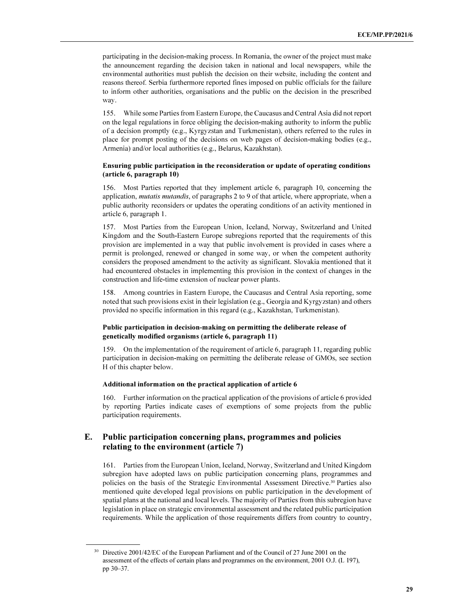participating in the decision-making process. In Romania, the owner of the project must make the announcement regarding the decision taken in national and local newspapers, while the environmental authorities must publish the decision on their website, including the content and reasons thereof. Serbia furthermore reported fines imposed on public officials for the failure to inform other authorities, organisations and the public on the decision in the prescribed way.

155. While some Parties from Eastern Europe, the Caucasus and Central Asia did not report on the legal regulations in force obliging the decision-making authority to inform the public of a decision promptly (e.g., Kyrgyzstan and Turkmenistan), others referred to the rules in place for prompt posting of the decisions on web pages of decision-making bodies (e.g., Armenia) and/or local authorities (e.g., Belarus, Kazakhstan).

## Ensuring public participation in the reconsideration or update of operating conditions (article 6, paragraph 10)

156. Most Parties reported that they implement article 6, paragraph 10, concerning the application, *mutatis mutandis*, of paragraphs 2 to 9 of that article, where appropriate, when a public authority reconsiders or updates the operating conditions of an activity mentioned in article 6, paragraph 1.

157. Most Parties from the European Union, Iceland, Norway, Switzerland and United Kingdom and the South-Eastern Europe subregions reported that the requirements of this provision are implemented in a way that public involvement is provided in cases where a permit is prolonged, renewed or changed in some way, or when the competent authority considers the proposed amendment to the activity as significant. Slovakia mentioned that it had encountered obstacles in implementing this provision in the context of changes in the construction and life-time extension of nuclear power plants.

158. Among countries in Eastern Europe, the Caucasus and Central Asia reporting, some noted that such provisions exist in their legislation (e.g., Georgia and Kyrgyzstan) and others provided no specific information in this regard (e.g., Kazakhstan, Turkmenistan).

## Public participation in decision-making on permitting the deliberate release of genetically modified organisms (article 6, paragraph 11)

159. On the implementation of the requirement of article 6, paragraph 11, regarding public participation in decision-making on permitting the deliberate release of GMOs, see section H of this chapter below.

#### Additional information on the practical application of article 6

160. Further information on the practical application of the provisions of article 6 provided by reporting Parties indicate cases of exemptions of some projects from the public participation requirements.

## E. Public participation concerning plans, programmes and policies relating to the environment (article 7)

161. Parties from the European Union, Iceland, Norway, Switzerland and United Kingdom subregion have adopted laws on public participation concerning plans, programmes and policies on the basis of the Strategic Environmental Assessment Directive.<sup>30</sup> Parties also mentioned quite developed legal provisions on public participation in the development of spatial plans at the national and local levels. The majority of Parties from this subregion have legislation in place on strategic environmental assessment and the related public participation requirements. While the application of those requirements differs from country to country,

<sup>&</sup>lt;sup>30</sup> Directive 2001/42/EC of the European Parliament and of the Council of 27 June 2001 on the assessment of the effects of certain plans and programmes on the environment, 2001 O.J. (L 197), pp 30–37.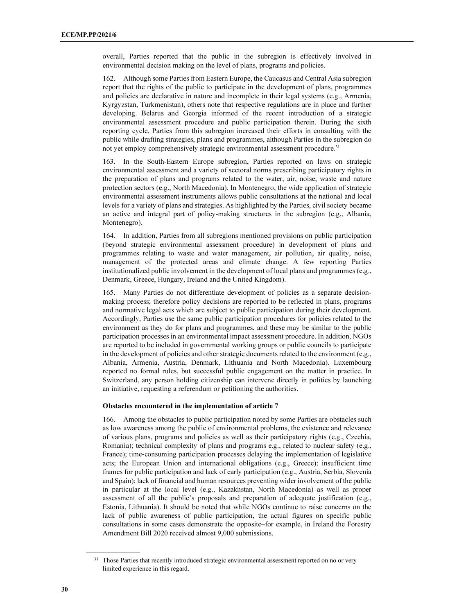overall, Parties reported that the public in the subregion is effectively involved in environmental decision making on the level of plans, programs and policies.

162. Although some Parties from Eastern Europe, the Caucasus and Central Asia subregion report that the rights of the public to participate in the development of plans, programmes and policies are declarative in nature and incomplete in their legal systems (e.g., Armenia, Kyrgyzstan, Turkmenistan), others note that respective regulations are in place and further developing. Belarus and Georgia informed of the recent introduction of a strategic environmental assessment procedure and public participation therein. During the sixth reporting cycle, Parties from this subregion increased their efforts in consulting with the public while drafting strategies, plans and programmes, although Parties in the subregion do not yet employ comprehensively strategic environmental assessment procedure.<sup>31</sup>

163. In the South-Eastern Europe subregion, Parties reported on laws on strategic environmental assessment and a variety of sectoral norms prescribing participatory rights in the preparation of plans and programs related to the water, air, noise, waste and nature protection sectors (e.g., North Macedonia). In Montenegro, the wide application of strategic environmental assessment instruments allows public consultations at the national and local levels for a variety of plans and strategies. As highlighted by the Parties, civil society became an active and integral part of policy-making structures in the subregion (e.g., Albania, Montenegro).

164. In addition, Parties from all subregions mentioned provisions on public participation (beyond strategic environmental assessment procedure) in development of plans and programmes relating to waste and water management, air pollution, air quality, noise, management of the protected areas and climate change. A few reporting Parties institutionalized public involvement in the development of local plans and programmes (e.g., Denmark, Greece, Hungary, Ireland and the United Kingdom).

165. Many Parties do not differentiate development of policies as a separate decisionmaking process; therefore policy decisions are reported to be reflected in plans, programs and normative legal acts which are subject to public participation during their development. Accordingly, Parties use the same public participation procedures for policies related to the environment as they do for plans and programmes, and these may be similar to the public participation processes in an environmental impact assessment procedure. In addition, NGOs are reported to be included in governmental working groups or public councils to participate in the development of policies and other strategic documents related to the environment (e.g., Albania, Armenia, Austria, Denmark, Lithuania and North Macedonia). Luxembourg reported no formal rules, but successful public engagement on the matter in practice. In Switzerland, any person holding citizenship can intervene directly in politics by launching an initiative, requesting a referendum or petitioning the authorities.

#### Obstacles encountered in the implementation of article 7

166. Among the obstacles to public participation noted by some Parties are obstacles such as low awareness among the public of environmental problems, the existence and relevance of various plans, programs and policies as well as their participatory rights (e.g., Czechia, Romania); technical complexity of plans and programs e.g., related to nuclear safety (e.g., France); time-consuming participation processes delaying the implementation of legislative acts; the European Union and international obligations (e.g., Greece); insufficient time frames for public participation and lack of early participation (e.g., Austria, Serbia, Slovenia and Spain); lack of financial and human resources preventing wider involvement of the public in particular at the local level (e.g., Kazakhstan, North Macedonia) as well as proper assessment of all the public's proposals and preparation of adequate justification (e.g., Estonia, Lithuania). It should be noted that while NGOs continue to raise concerns on the lack of public awareness of public participation, the actual figures on specific public consultations in some cases demonstrate the opposite–for example, in Ireland the Forestry Amendment Bill 2020 received almost 9,000 submissions.

<sup>&</sup>lt;sup>31</sup> Those Parties that recently introduced strategic environmental assessment reported on no or very limited experience in this regard.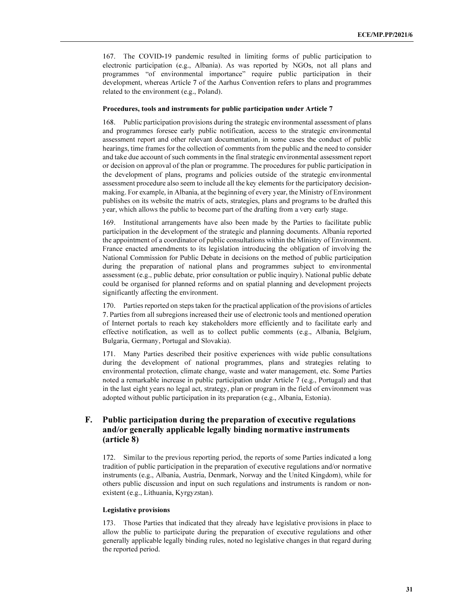167. The COVID-19 pandemic resulted in limiting forms of public participation to electronic participation (e.g., Albania). As was reported by NGOs, not all plans and programmes "of environmental importance" require public participation in their development, whereas Article 7 of the Aarhus Convention refers to plans and programmes related to the environment (e.g., Poland).

#### Procedures, tools and instruments for public participation under Article 7

168. Public participation provisions during the strategic environmental assessment of plans and programmes foresee early public notification, access to the strategic environmental assessment report and other relevant documentation, in some cases the conduct of public hearings, time frames for the collection of comments from the public and the need to consider and take due account of such comments in the final strategic environmental assessment report or decision on approval of the plan or programme. The procedures for public participation in the development of plans, programs and policies outside of the strategic environmental assessment procedure also seem to include all the key elements for the participatory decisionmaking. For example, in Albania, at the beginning of every year, the Ministry of Environment publishes on its website the matrix of acts, strategies, plans and programs to be drafted this year, which allows the public to become part of the drafting from a very early stage.

169. Institutional arrangements have also been made by the Parties to facilitate public participation in the development of the strategic and planning documents. Albania reported the appointment of a coordinator of public consultations within the Ministry of Environment. France enacted amendments to its legislation introducing the obligation of involving the National Commission for Public Debate in decisions on the method of public participation during the preparation of national plans and programmes subject to environmental assessment (e.g., public debate, prior consultation or public inquiry). National public debate could be organised for planned reforms and on spatial planning and development projects significantly affecting the environment.

170. Parties reported on steps taken for the practical application of the provisions of articles 7. Parties from all subregions increased their use of electronic tools and mentioned operation of Internet portals to reach key stakeholders more efficiently and to facilitate early and effective notification, as well as to collect public comments (e.g., Albania, Belgium, Bulgaria, Germany, Portugal and Slovakia).

171. Many Parties described their positive experiences with wide public consultations during the development of national programmes, plans and strategies relating to environmental protection, climate change, waste and water management, etc. Some Parties noted a remarkable increase in public participation under Article 7 (e.g., Portugal) and that in the last eight years no legal act, strategy, plan or program in the field of environment was adopted without public participation in its preparation (e.g., Albania, Estonia).

## F. Public participation during the preparation of executive regulations and/or generally applicable legally binding normative instruments (article 8)

172. Similar to the previous reporting period, the reports of some Parties indicated a long tradition of public participation in the preparation of executive regulations and/or normative instruments (e.g., Albania, Austria, Denmark, Norway and the United Kingdom), while for others public discussion and input on such regulations and instruments is random or nonexistent (e.g., Lithuania, Kyrgyzstan).

#### Legislative provisions

173. Those Parties that indicated that they already have legislative provisions in place to allow the public to participate during the preparation of executive regulations and other generally applicable legally binding rules, noted no legislative changes in that regard during the reported period.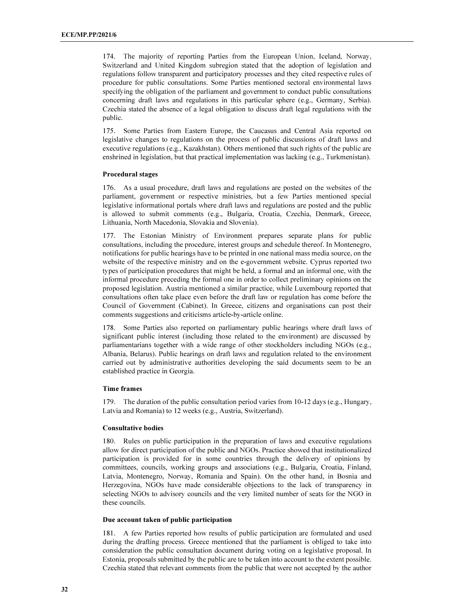174. The majority of reporting Parties from the European Union, Iceland, Norway, Switzerland and United Kingdom subregion stated that the adoption of legislation and regulations follow transparent and participatory processes and they cited respective rules of procedure for public consultations. Some Parties mentioned sectoral environmental laws specifying the obligation of the parliament and government to conduct public consultations concerning draft laws and regulations in this particular sphere (e.g., Germany, Serbia). Czechia stated the absence of a legal obligation to discuss draft legal regulations with the public.

175. Some Parties from Eastern Europe, the Caucasus and Central Asia reported on legislative changes to regulations on the process of public discussions of draft laws and executive regulations (e.g., Kazakhstan). Others mentioned that such rights of the public are enshrined in legislation, but that practical implementation was lacking (e.g., Turkmenistan).

#### Procedural stages

176. As a usual procedure, draft laws and regulations are posted on the websites of the parliament, government or respective ministries, but a few Parties mentioned special legislative informational portals where draft laws and regulations are posted and the public is allowed to submit comments (e.g., Bulgaria, Croatia, Czechia, Denmark, Greece, Lithuania, North Macedonia, Slovakia and Slovenia).

177. The Estonian Ministry of Environment prepares separate plans for public consultations, including the procedure, interest groups and schedule thereof. In Montenegro, notifications for public hearings have to be printed in one national mass media source, on the website of the respective ministry and on the e-government website. Cyprus reported two types of participation procedures that might be held, a formal and an informal one, with the informal procedure preceding the formal one in order to collect preliminary opinions on the proposed legislation. Austria mentioned a similar practice, while Luxembourg reported that consultations often take place even before the draft law or regulation has come before the Council of Government (Cabinet). In Greece, citizens and organisations can post their comments suggestions and criticisms article-by-article online.

178. Some Parties also reported on parliamentary public hearings where draft laws of significant public interest (including those related to the environment) are discussed by parliamentarians together with a wide range of other stockholders including NGOs (e.g., Albania, Belarus). Public hearings on draft laws and regulation related to the environment carried out by administrative authorities developing the said documents seem to be an established practice in Georgia.

#### Time frames

179. The duration of the public consultation period varies from 10-12 days (e.g., Hungary, Latvia and Romania) to 12 weeks (e.g., Austria, Switzerland).

## Consultative bodies

180. Rules on public participation in the preparation of laws and executive regulations allow for direct participation of the public and NGOs. Practice showed that institutionalized participation is provided for in some countries through the delivery of opinions by committees, councils, working groups and associations (e.g., Bulgaria, Croatia, Finland, Latvia, Montenegro, Norway, Romania and Spain). On the other hand, in Bosnia and Herzegovina, NGOs have made considerable objections to the lack of transparency in selecting NGOs to advisory councils and the very limited number of seats for the NGO in these councils.

#### Due account taken of public participation

181. A few Parties reported how results of public participation are formulated and used during the drafting process. Greece mentioned that the parliament is obliged to take into consideration the public consultation document during voting on a legislative proposal. In Estonia, proposals submitted by the public are to be taken into account to the extent possible. Czechia stated that relevant comments from the public that were not accepted by the author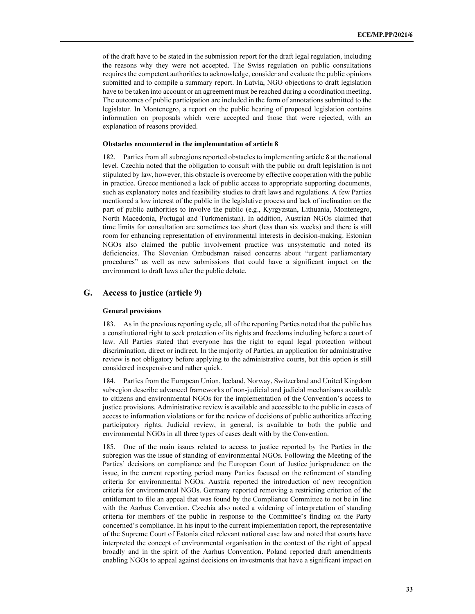of the draft have to be stated in the submission report for the draft legal regulation, including the reasons why they were not accepted. The Swiss regulation on public consultations requires the competent authorities to acknowledge, consider and evaluate the public opinions submitted and to compile a summary report. In Latvia, NGO objections to draft legislation have to be taken into account or an agreement must be reached during a coordination meeting. The outcomes of public participation are included in the form of annotations submitted to the legislator. In Montenegro, a report on the public hearing of proposed legislation contains information on proposals which were accepted and those that were rejected, with an explanation of reasons provided.

#### Obstacles encountered in the implementation of article 8

182. Parties from all subregions reported obstacles to implementing article 8 at the national level. Czechia noted that the obligation to consult with the public on draft legislation is not stipulated by law, however, this obstacle is overcome by effective cooperation with the public in practice. Greece mentioned a lack of public access to appropriate supporting documents, such as explanatory notes and feasibility studies to draft laws and regulations. A few Parties mentioned a low interest of the public in the legislative process and lack of inclination on the part of public authorities to involve the public (e.g., Kyrgyzstan, Lithuania, Montenegro, North Macedonia, Portugal and Turkmenistan). In addition, Austrian NGOs claimed that time limits for consultation are sometimes too short (less than six weeks) and there is still room for enhancing representation of environmental interests in decision-making. Estonian NGOs also claimed the public involvement practice was unsystematic and noted its deficiencies. The Slovenian Ombudsman raised concerns about "urgent parliamentary procedures" as well as new submissions that could have a significant impact on the environment to draft laws after the public debate.

## G. Access to justice (article 9)

#### General provisions

183. As in the previous reporting cycle, all of the reporting Parties noted that the public has a constitutional right to seek protection of its rights and freedoms including before a court of law. All Parties stated that everyone has the right to equal legal protection without discrimination, direct or indirect. In the majority of Parties, an application for administrative review is not obligatory before applying to the administrative courts, but this option is still considered inexpensive and rather quick.

184. Parties from the European Union, Iceland, Norway, Switzerland and United Kingdom subregion describe advanced frameworks of non-judicial and judicial mechanisms available to citizens and environmental NGOs for the implementation of the Convention's access to justice provisions. Administrative review is available and accessible to the public in cases of access to information violations or for the review of decisions of public authorities affecting participatory rights. Judicial review, in general, is available to both the public and environmental NGOs in all three types of cases dealt with by the Convention.

185. One of the main issues related to access to justice reported by the Parties in the subregion was the issue of standing of environmental NGOs. Following the Meeting of the Parties' decisions on compliance and the European Court of Justice jurisprudence on the issue, in the current reporting period many Parties focused on the refinement of standing criteria for environmental NGOs. Austria reported the introduction of new recognition criteria for environmental NGOs. Germany reported removing a restricting criterion of the entitlement to file an appeal that was found by the Compliance Committee to not be in line with the Aarhus Convention. Czechia also noted a widening of interpretation of standing criteria for members of the public in response to the Committee's finding on the Party concerned's compliance. In his input to the current implementation report, the representative of the Supreme Court of Estonia cited relevant national case law and noted that courts have interpreted the concept of environmental organisation in the context of the right of appeal broadly and in the spirit of the Aarhus Convention. Poland reported draft amendments enabling NGOs to appeal against decisions on investments that have a significant impact on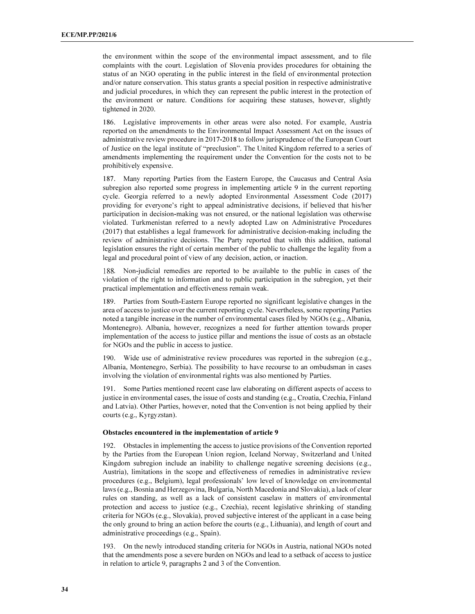the environment within the scope of the environmental impact assessment, and to file complaints with the court. Legislation of Slovenia provides procedures for obtaining the status of an NGO operating in the public interest in the field of environmental protection and/or nature conservation. This status grants a special position in respective administrative and judicial procedures, in which they can represent the public interest in the protection of the environment or nature. Conditions for acquiring these statuses, however, slightly tightened in 2020.

186. Legislative improvements in other areas were also noted. For example, Austria reported on the amendments to the Environmental Impact Assessment Act on the issues of administrative review procedure in 2017-2018 to follow jurisprudence of the European Court of Justice on the legal institute of "preclusion". The United Kingdom referred to a series of amendments implementing the requirement under the Convention for the costs not to be prohibitively expensive.

187. Many reporting Parties from the Eastern Europe, the Caucasus and Central Asia subregion also reported some progress in implementing article 9 in the current reporting cycle. Georgia referred to a newly adopted Environmental Assessment Code (2017) providing for everyone's right to appeal administrative decisions, if believed that his/her participation in decision-making was not ensured, or the national legislation was otherwise violated. Turkmenistan referred to a newly adopted Law on Administrative Procedures (2017) that establishes a legal framework for administrative decision-making including the review of administrative decisions. The Party reported that with this addition, national legislation ensures the right of certain member of the public to challenge the legality from a legal and procedural point of view of any decision, action, or inaction.

. Non-judicial remedies are reported to be available to the public in cases of the violation of the right to information and to public participation in the subregion, yet their practical implementation and effectiveness remain weak.

189. Parties from South-Eastern Europe reported no significant legislative changes in the area of access to justice over the current reporting cycle. Nevertheless, some reporting Parties noted a tangible increase in the number of environmental cases filed by NGOs (e.g., Albania, Montenegro). Albania, however, recognizes a need for further attention towards proper implementation of the access to justice pillar and mentions the issue of costs as an obstacle for NGOs and the public in access to justice.

190. Wide use of administrative review procedures was reported in the subregion (e.g., Albania, Montenegro, Serbia). The possibility to have recourse to an ombudsman in cases involving the violation of environmental rights was also mentioned by Parties.

191. Some Parties mentioned recent case law elaborating on different aspects of access to justice in environmental cases, the issue of costs and standing (e.g., Croatia, Czechia, Finland and Latvia). Other Parties, however, noted that the Convention is not being applied by their courts (e.g., Kyrgyzstan).

#### Obstacles encountered in the implementation of article 9

192. Obstacles in implementing the access to justice provisions of the Convention reported by the Parties from the European Union region, Iceland Norway, Switzerland and United Kingdom subregion include an inability to challenge negative screening decisions (e.g., Austria), limitations in the scope and effectiveness of remedies in administrative review procedures (e.g., Belgium), legal professionals' low level of knowledge on environmental laws (e.g., Bosnia and Herzegovina, Bulgaria, North Macedonia and Slovakia), a lack of clear rules on standing, as well as a lack of consistent caselaw in matters of environmental protection and access to justice (e.g., Czechia), recent legislative shrinking of standing criteria for NGOs (e.g., Slovakia), proved subjective interest of the applicant in a case being the only ground to bring an action before the courts (e.g., Lithuania), and length of court and administrative proceedings (e.g., Spain).

193. On the newly introduced standing criteria for NGOs in Austria, national NGOs noted that the amendments pose a severe burden on NGOs and lead to a setback of access to justice in relation to article 9, paragraphs 2 and 3 of the Convention.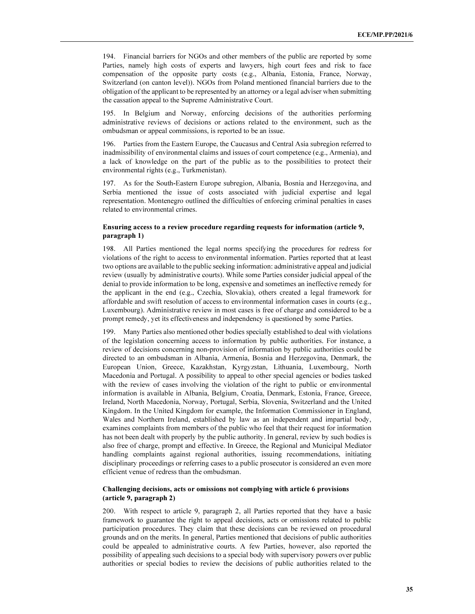194. Financial barriers for NGOs and other members of the public are reported by some Parties, namely high costs of experts and lawyers, high court fees and risk to face compensation of the opposite party costs (e.g., Albania, Estonia, France, Norway, Switzerland (on canton level)). NGOs from Poland mentioned financial barriers due to the obligation of the applicant to be represented by an attorney or a legal adviser when submitting the cassation appeal to the Supreme Administrative Court.

195. In Belgium and Norway, enforcing decisions of the authorities performing administrative reviews of decisions or actions related to the environment, such as the ombudsman or appeal commissions, is reported to be an issue.

196. Parties from the Eastern Europe, the Caucasus and Central Asia subregion referred to inadmissibility of environmental claims and issues of court competence (e.g., Armenia), and a lack of knowledge on the part of the public as to the possibilities to protect their environmental rights (e.g., Turkmenistan).

197. As for the South-Eastern Europe subregion, Albania, Bosnia and Herzegovina, and Serbia mentioned the issue of costs associated with judicial expertise and legal representation. Montenegro outlined the difficulties of enforcing criminal penalties in cases related to environmental crimes.

### Ensuring access to a review procedure regarding requests for information (article 9, paragraph 1)

198. All Parties mentioned the legal norms specifying the procedures for redress for violations of the right to access to environmental information. Parties reported that at least two options are available to the public seeking information: administrative appeal and judicial review (usually by administrative courts). While some Parties consider judicial appeal of the denial to provide information to be long, expensive and sometimes an ineffective remedy for the applicant in the end (e.g., Czechia, Slovakia), others created a legal framework for affordable and swift resolution of access to environmental information cases in courts (e.g., Luxembourg). Administrative review in most cases is free of charge and considered to be a prompt remedy, yet its effectiveness and independency is questioned by some Parties.

199. Many Parties also mentioned other bodies specially established to deal with violations of the legislation concerning access to information by public authorities. For instance, a review of decisions concerning non-provision of information by public authorities could be directed to an ombudsman in Albania, Armenia, Bosnia and Herzegovina, Denmark, the European Union, Greece, Kazakhstan, Kyrgyzstan, Lithuania, Luxembourg, North Macedonia and Portugal. A possibility to appeal to other special agencies or bodies tasked with the review of cases involving the violation of the right to public or environmental information is available in Albania, Belgium, Croatia, Denmark, Estonia, France, Greece, Ireland, North Macedonia, Norway, Portugal, Serbia, Slovenia, Switzerland and the United Kingdom. In the United Kingdom for example, the Information Commissioner in England, Wales and Northern Ireland, established by law as an independent and impartial body, examines complaints from members of the public who feel that their request for information has not been dealt with properly by the public authority. In general, review by such bodies is also free of charge, prompt and effective. In Greece, the Regional and Municipal Mediator handling complaints against regional authorities, issuing recommendations, initiating disciplinary proceedings or referring cases to a public prosecutor is considered an even more efficient venue of redress than the ombudsman.

## Challenging decisions, acts or omissions not complying with article 6 provisions (article 9, paragraph 2)

200. With respect to article 9, paragraph 2, all Parties reported that they have a basic framework to guarantee the right to appeal decisions, acts or omissions related to public participation procedures. They claim that these decisions can be reviewed on procedural grounds and on the merits. In general, Parties mentioned that decisions of public authorities could be appealed to administrative courts. A few Parties, however, also reported the possibility of appealing such decisions to a special body with supervisory powers over public authorities or special bodies to review the decisions of public authorities related to the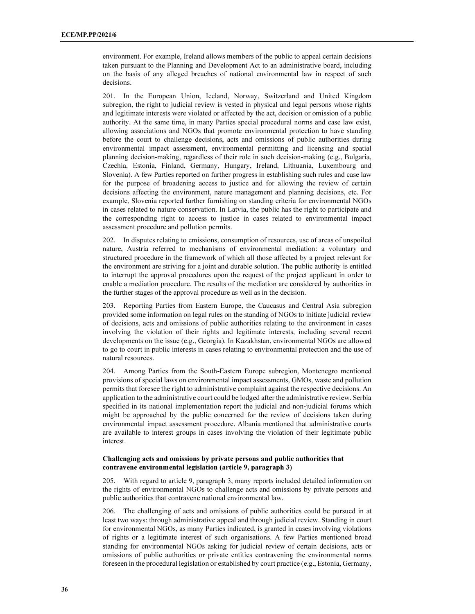environment. For example, Ireland allows members of the public to appeal certain decisions taken pursuant to the Planning and Development Act to an administrative board, including on the basis of any alleged breaches of national environmental law in respect of such decisions.

201. In the European Union, Iceland, Norway, Switzerland and United Kingdom subregion, the right to judicial review is vested in physical and legal persons whose rights and legitimate interests were violated or affected by the act, decision or omission of a public authority. At the same time, in many Parties special procedural norms and case law exist, allowing associations and NGOs that promote environmental protection to have standing before the court to challenge decisions, acts and omissions of public authorities during environmental impact assessment, environmental permitting and licensing and spatial planning decision-making, regardless of their role in such decision-making (e.g., Bulgaria, Czechia, Estonia, Finland, Germany, Hungary, Ireland, Lithuania, Luxembourg and Slovenia). A few Parties reported on further progress in establishing such rules and case law for the purpose of broadening access to justice and for allowing the review of certain decisions affecting the environment, nature management and planning decisions, etc. For example, Slovenia reported further furnishing on standing criteria for environmental NGOs in cases related to nature conservation. In Latvia, the public has the right to participate and the corresponding right to access to justice in cases related to environmental impact assessment procedure and pollution permits.

202. In disputes relating to emissions, consumption of resources, use of areas of unspoiled nature, Austria referred to mechanisms of environmental mediation: a voluntary and structured procedure in the framework of which all those affected by a project relevant for the environment are striving for a joint and durable solution. The public authority is entitled to interrupt the approval procedures upon the request of the project applicant in order to enable a mediation procedure. The results of the mediation are considered by authorities in the further stages of the approval procedure as well as in the decision.

203. Reporting Parties from Eastern Europe, the Caucasus and Central Asia subregion provided some information on legal rules on the standing of NGOs to initiate judicial review of decisions, acts and omissions of public authorities relating to the environment in cases involving the violation of their rights and legitimate interests, including several recent developments on the issue (e.g., Georgia). In Kazakhstan, environmental NGOs are allowed to go to court in public interests in cases relating to environmental protection and the use of natural resources.

204. Among Parties from the South-Eastern Europe subregion, Montenegro mentioned provisions of special laws on environmental impact assessments, GMOs, waste and pollution permits that foresee the right to administrative complaint against the respective decisions. An application to the administrative court could be lodged after the administrative review. Serbia specified in its national implementation report the judicial and non-judicial forums which might be approached by the public concerned for the review of decisions taken during environmental impact assessment procedure. Albania mentioned that administrative courts are available to interest groups in cases involving the violation of their legitimate public interest.

#### Challenging acts and omissions by private persons and public authorities that contravene environmental legislation (article 9, paragraph 3)

205. With regard to article 9, paragraph 3, many reports included detailed information on the rights of environmental NGOs to challenge acts and omissions by private persons and public authorities that contravene national environmental law.

206. The challenging of acts and omissions of public authorities could be pursued in at least two ways: through administrative appeal and through judicial review. Standing in court for environmental NGOs, as many Parties indicated, is granted in cases involving violations of rights or a legitimate interest of such organisations. A few Parties mentioned broad standing for environmental NGOs asking for judicial review of certain decisions, acts or omissions of public authorities or private entities contravening the environmental norms foreseen in the procedural legislation or established by court practice (e.g., Estonia, Germany,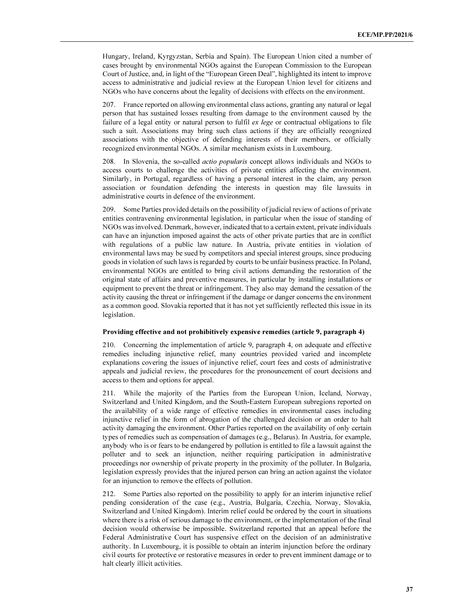Hungary, Ireland, Kyrgyzstan, Serbia and Spain). The European Union cited a number of cases brought by environmental NGOs against the European Commission to the European Court of Justice, and, in light of the "European Green Deal", highlighted its intent to improve access to administrative and judicial review at the European Union level for citizens and NGOs who have concerns about the legality of decisions with effects on the environment.

207. France reported on allowing environmental class actions, granting any natural or legal person that has sustained losses resulting from damage to the environment caused by the failure of a legal entity or natural person to fulfil *ex lege* or contractual obligations to file such a suit. Associations may bring such class actions if they are officially recognized associations with the objective of defending interests of their members, or officially recognized environmental NGOs. A similar mechanism exists in Luxembourg.

208. In Slovenia, the so-called *actio popularis* concept allows individuals and NGOs to access courts to challenge the activities of private entities affecting the environment. Similarly, in Portugal, regardless of having a personal interest in the claim, any person association or foundation defending the interests in question may file lawsuits in administrative courts in defence of the environment.

209. Some Parties provided details on the possibility of judicial review of actions of private entities contravening environmental legislation, in particular when the issue of standing of NGOs was involved. Denmark, however, indicated that to a certain extent, private individuals can have an injunction imposed against the acts of other private parties that are in conflict with regulations of a public law nature. In Austria, private entities in violation of environmental laws may be sued by competitors and special interest groups, since producing goods in violation of such laws is regarded by courts to be unfair business practice. In Poland, environmental NGOs are entitled to bring civil actions demanding the restoration of the original state of affairs and preventive measures, in particular by installing installations or equipment to prevent the threat or infringement. They also may demand the cessation of the activity causing the threat or infringement if the damage or danger concerns the environment as a common good. Slovakia reported that it has not yet sufficiently reflected this issue in its legislation.

#### Providing effective and not prohibitively expensive remedies (article 9, paragraph 4)

210. Concerning the implementation of article 9, paragraph 4, on adequate and effective remedies including injunctive relief, many countries provided varied and incomplete explanations covering the issues of injunctive relief, court fees and costs of administrative appeals and judicial review, the procedures for the pronouncement of court decisions and access to them and options for appeal.

211. While the majority of the Parties from the European Union, Iceland, Norway, Switzerland and United Kingdom, and the South-Eastern European subregions reported on the availability of a wide range of effective remedies in environmental cases including injunctive relief in the form of abrogation of the challenged decision or an order to halt activity damaging the environment. Other Parties reported on the availability of only certain types of remedies such as compensation of damages (e.g., Belarus). In Austria, for example, anybody who is or fears to be endangered by pollution is entitled to file a lawsuit against the polluter and to seek an injunction, neither requiring participation in administrative proceedings nor ownership of private property in the proximity of the polluter. In Bulgaria, legislation expressly provides that the injured person can bring an action against the violator for an injunction to remove the effects of pollution.

212. Some Parties also reported on the possibility to apply for an interim injunctive relief pending consideration of the case (e.g., Austria, Bulgaria, Czechia, Norway, Slovakia, Switzerland and United Kingdom). Interim relief could be ordered by the court in situations where there is a risk of serious damage to the environment, or the implementation of the final decision would otherwise be impossible. Switzerland reported that an appeal before the Federal Administrative Court has suspensive effect on the decision of an administrative authority. In Luxembourg, it is possible to obtain an interim injunction before the ordinary civil courts for protective or restorative measures in order to prevent imminent damage or to halt clearly illicit activities.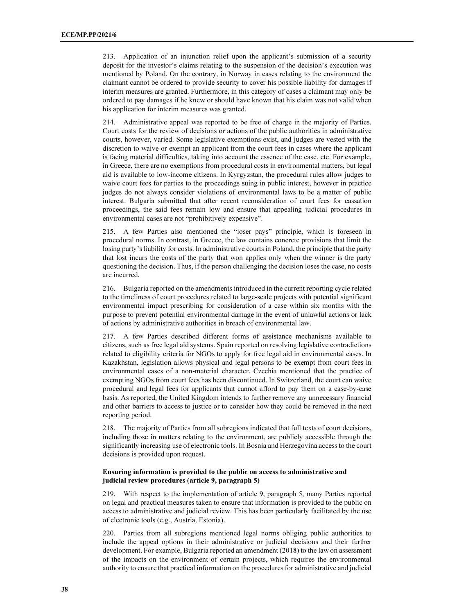213. Application of an injunction relief upon the applicant's submission of a security deposit for the investor's claims relating to the suspension of the decision's execution was mentioned by Poland. On the contrary, in Norway in cases relating to the environment the claimant cannot be ordered to provide security to cover his possible liability for damages if interim measures are granted. Furthermore, in this category of cases a claimant may only be ordered to pay damages if he knew or should have known that his claim was not valid when his application for interim measures was granted.

214. Administrative appeal was reported to be free of charge in the majority of Parties. Court costs for the review of decisions or actions of the public authorities in administrative courts, however, varied. Some legislative exemptions exist, and judges are vested with the discretion to waive or exempt an applicant from the court fees in cases where the applicant is facing material difficulties, taking into account the essence of the case, etc. For example, in Greece, there are no exemptions from procedural costs in environmental matters, but legal aid is available to low-income citizens. In Kyrgyzstan, the procedural rules allow judges to waive court fees for parties to the proceedings suing in public interest, however in practice judges do not always consider violations of environmental laws to be a matter of public interest. Bulgaria submitted that after recent reconsideration of court fees for cassation proceedings, the said fees remain low and ensure that appealing judicial procedures in environmental cases are not "prohibitively expensive".

215. A few Parties also mentioned the "loser pays" principle, which is foreseen in procedural norms. In contrast, in Greece, the law contains concrete provisions that limit the losing party's liability for costs. In administrative courts in Poland, the principle that the party that lost incurs the costs of the party that won applies only when the winner is the party questioning the decision. Thus, if the person challenging the decision loses the case, no costs are incurred.

216. Bulgaria reported on the amendments introduced in the current reporting cycle related to the timeliness of court procedures related to large-scale projects with potential significant environmental impact prescribing for consideration of a case within six months with the purpose to prevent potential environmental damage in the event of unlawful actions or lack of actions by administrative authorities in breach of environmental law.

217. A few Parties described different forms of assistance mechanisms available to citizens, such as free legal aid systems. Spain reported on resolving legislative contradictions related to eligibility criteria for NGOs to apply for free legal aid in environmental cases. In Kazakhstan, legislation allows physical and legal persons to be exempt from court fees in environmental cases of a non-material character. Czechia mentioned that the practice of exempting NGOs from court fees has been discontinued. In Switzerland, the court can waive procedural and legal fees for applicants that cannot afford to pay them on a case-by-case basis. As reported, the United Kingdom intends to further remove any unnecessary financial and other barriers to access to justice or to consider how they could be removed in the next reporting period.

218. The majority of Parties from all subregions indicated that full texts of court decisions, including those in matters relating to the environment, are publicly accessible through the significantly increasing use of electronic tools. In Bosnia and Herzegovina access to the court decisions is provided upon request.

### Ensuring information is provided to the public on access to administrative and judicial review procedures (article 9, paragraph 5)

219. With respect to the implementation of article 9, paragraph 5, many Parties reported on legal and practical measures taken to ensure that information is provided to the public on access to administrative and judicial review. This has been particularly facilitated by the use of electronic tools (e.g., Austria, Estonia).

220. Parties from all subregions mentioned legal norms obliging public authorities to include the appeal options in their administrative or judicial decisions and their further development. For example, Bulgaria reported an amendment (2018) to the law on assessment of the impacts on the environment of certain projects, which requires the environmental authority to ensure that practical information on the procedures for administrative and judicial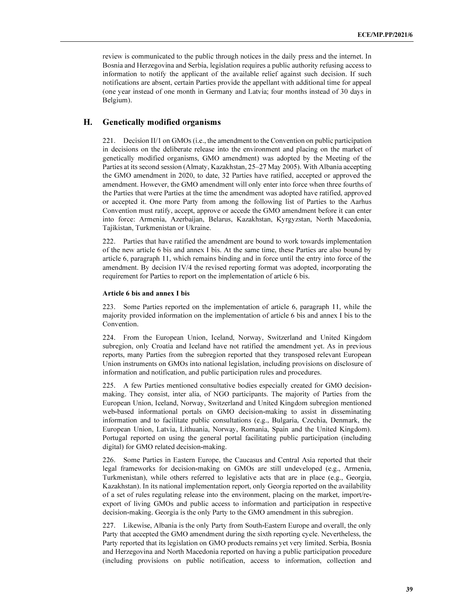review is communicated to the public through notices in the daily press and the internet. In Bosnia and Herzegovina and Serbia, legislation requires a public authority refusing access to information to notify the applicant of the available relief against such decision. If such notifications are absent, certain Parties provide the appellant with additional time for appeal (one year instead of one month in Germany and Latvia; four months instead of 30 days in Belgium).

### H. Genetically modified organisms

221. Decision II/1 on GMOs (i.e., the amendment to the Convention on public participation in decisions on the deliberate release into the environment and placing on the market of genetically modified organisms, GMO amendment) was adopted by the Meeting of the Parties at its second session (Almaty, Kazakhstan, 25–27 May 2005). With Albania accepting the GMO amendment in 2020, to date, 32 Parties have ratified, accepted or approved the amendment. However, the GMO amendment will only enter into force when three fourths of the Parties that were Parties at the time the amendment was adopted have ratified, approved or accepted it. One more Party from among the following list of Parties to the Aarhus Convention must ratify, accept, approve or accede the GMO amendment before it can enter into force: Armenia, Azerbaijan, Belarus, Kazakhstan, Kyrgyzstan, North Macedonia, Tajikistan, Turkmenistan or Ukraine.

222. Parties that have ratified the amendment are bound to work towards implementation of the new article 6 bis and annex I bis. At the same time, these Parties are also bound by article 6, paragraph 11, which remains binding and in force until the entry into force of the amendment. By decision IV/4 the revised reporting format was adopted, incorporating the requirement for Parties to report on the implementation of article 6 bis.

#### Article 6 bis and annex I bis

223. Some Parties reported on the implementation of article 6, paragraph 11, while the majority provided information on the implementation of article 6 bis and annex I bis to the Convention.

224. From the European Union, Iceland, Norway, Switzerland and United Kingdom subregion, only Croatia and Iceland have not ratified the amendment yet. As in previous reports, many Parties from the subregion reported that they transposed relevant European Union instruments on GMOs into national legislation, including provisions on disclosure of information and notification, and public participation rules and procedures.

225. A few Parties mentioned consultative bodies especially created for GMO decisionmaking. They consist, inter alia, of NGO participants. The majority of Parties from the European Union, Iceland, Norway, Switzerland and United Kingdom subregion mentioned web-based informational portals on GMO decision-making to assist in disseminating information and to facilitate public consultations (e.g., Bulgaria, Czechia, Denmark, the European Union, Latvia, Lithuania, Norway, Romania, Spain and the United Kingdom). Portugal reported on using the general portal facilitating public participation (including digital) for GMO related decision-making.

226. Some Parties in Eastern Europe, the Caucasus and Central Asia reported that their legal frameworks for decision-making on GMOs are still undeveloped (e.g., Armenia, Turkmenistan), while others referred to legislative acts that are in place (e.g., Georgia, Kazakhstan). In its national implementation report, only Georgia reported on the availability of a set of rules regulating release into the environment, placing on the market, import/reexport of living GMOs and public access to information and participation in respective decision-making. Georgia is the only Party to the GMO amendment in this subregion.

227. Likewise, Albania is the only Party from South-Eastern Europe and overall, the only Party that accepted the GMO amendment during the sixth reporting cycle. Nevertheless, the Party reported that its legislation on GMO products remains yet very limited. Serbia, Bosnia and Herzegovina and North Macedonia reported on having a public participation procedure (including provisions on public notification, access to information, collection and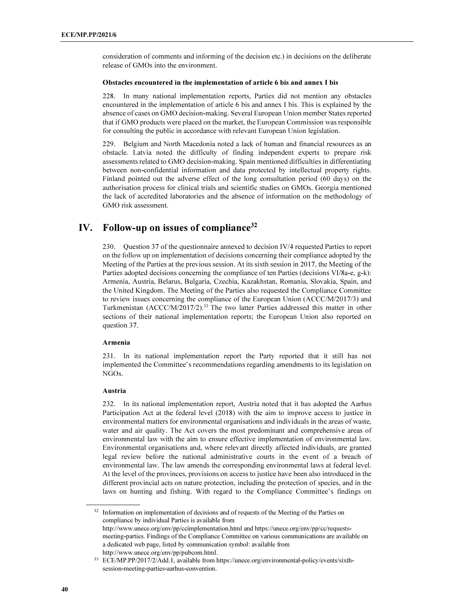consideration of comments and informing of the decision etc.) in decisions on the deliberate release of GMOs into the environment.

#### Obstacles encountered in the implementation of article 6 bis and annex I bis

228. In many national implementation reports, Parties did not mention any obstacles encountered in the implementation of article 6 bis and annex I bis. This is explained by the absence of cases on GMO decision-making. Several European Union member States reported that if GMO products were placed on the market, the European Commission was responsible for consulting the public in accordance with relevant European Union legislation.

229. Belgium and North Macedonia noted a lack of human and financial resources as an obstacle. Latvia noted the difficulty of finding independent experts to prepare risk assessments related to GMO decision-making. Spain mentioned difficulties in differentiating between non-confidential information and data protected by intellectual property rights. Finland pointed out the adverse effect of the long consultation period (60 days) on the authorisation process for clinical trials and scientific studies on GMOs. Georgia mentioned the lack of accredited laboratories and the absence of information on the methodology of GMO risk assessment.

## IV. Follow-up on issues of compliance $32$

230. Question 37 of the questionnaire annexed to decision IV/4 requested Parties to report on the follow up on implementation of decisions concerning their compliance adopted by the Meeting of the Parties at the previous session. At its sixth session in 2017, the Meeting of the Parties adopted decisions concerning the compliance of ten Parties (decisions VI/8a-e, g-k): Armenia, Austria, Belarus, Bulgaria, Czechia, Kazakhstan, Romania, Slovakia, Spain, and the United Kingdom. The Meeting of the Parties also requested the Compliance Committee to review issues concerning the compliance of the European Union (ACCC/M/2017/3) and Turkmenistan (ACCC/M/2017/2).<sup>33</sup> The two latter Parties addressed this matter in other sections of their national implementation reports; the European Union also reported on question 37.

#### Armenia

231. In its national implementation report the Party reported that it still has not implemented the Committee's recommendations regarding amendments to its legislation on NGOs.

#### Austria

232. In its national implementation report, Austria noted that it has adopted the Aarhus Participation Act at the federal level (2018) with the aim to improve access to justice in environmental matters for environmental organisations and individuals in the areas of waste, water and air quality. The Act covers the most predominant and comprehensive areas of environmental law with the aim to ensure effective implementation of environmental law. Environmental organisations and, where relevant directly affected individuals, are granted legal review before the national administrative courts in the event of a breach of environmental law. The law amends the corresponding environmental laws at federal level. At the level of the provinces, provisions on access to justice have been also introduced in the different provincial acts on nature protection, including the protection of species, and in the laws on hunting and fishing. With regard to the Compliance Committee's findings on

<sup>32</sup> Information on implementation of decisions and of requests of the Meeting of the Parties on compliance by individual Parties is available from http://www.unece.org/env/pp/ccimplementation.html and https://unece.org/env/pp/cc/requestsmeeting-parties. Findings of the Compliance Committee on various communications are available on a dedicated web page, listed by communication symbol: available from http://www.unece.org/env/pp/pubcom.html.

<sup>33</sup> ECE/MP.PP/2017/2/Add.1, available from https://unece.org/environmental-policy/events/sixthsession-meeting-parties-aarhus-convention.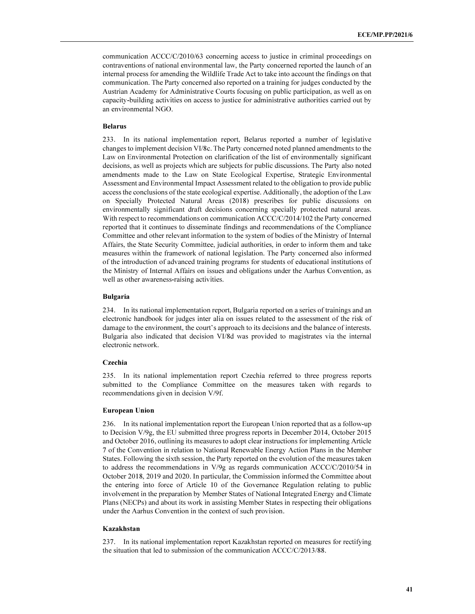communication ACCC/C/2010/63 concerning access to justice in criminal proceedings on contraventions of national environmental law, the Party concerned reported the launch of an internal process for amending the Wildlife Trade Act to take into account the findings on that communication. The Party concerned also reported on a training for judges conducted by the Austrian Academy for Administrative Courts focusing on public participation, as well as on capacity-building activities on access to justice for administrative authorities carried out by an environmental NGO.

#### Belarus

233. In its national implementation report, Belarus reported a number of legislative changes to implement decision VI/8c. The Party concerned noted planned amendments to the Law on Environmental Protection on clarification of the list of environmentally significant decisions, as well as projects which are subjects for public discussions. The Party also noted amendments made to the Law on State Ecological Expertise, Strategic Environmental Assessment and Environmental Impact Assessment related to the obligation to provide public access the conclusions of the state ecological expertise. Additionally, the adoption of the Law on Specially Protected Natural Areas (2018) prescribes for public discussions on environmentally significant draft decisions concerning specially protected natural areas. With respect to recommendations on communication ACCC/C/2014/102 the Party concerned reported that it continues to disseminate findings and recommendations of the Compliance Committee and other relevant information to the system of bodies of the Ministry of Internal Affairs, the State Security Committee, judicial authorities, in order to inform them and take measures within the framework of national legislation. The Party concerned also informed of the introduction of advanced training programs for students of educational institutions of the Ministry of Internal Affairs on issues and obligations under the Aarhus Convention, as well as other awareness-raising activities.

#### Bulgaria

234. In its national implementation report, Bulgaria reported on a series of trainings and an electronic handbook for judges inter alia on issues related to the assessment of the risk of damage to the environment, the court's approach to its decisions and the balance of interests. Bulgaria also indicated that decision VI/8d was provided to magistrates via the internal electronic network.

#### Czechia

235. In its national implementation report Czechia referred to three progress reports submitted to the Compliance Committee on the measures taken with regards to recommendations given in decision V/9f.

#### European Union

236. In its national implementation report the European Union reported that as a follow-up to Decision V/9g, the EU submitted three progress reports in December 2014, October 2015 and October 2016, outlining its measures to adopt clear instructions for implementing Article 7 of the Convention in relation to National Renewable Energy Action Plans in the Member States. Following the sixth session, the Party reported on the evolution of the measures taken to address the recommendations in V/9g as regards communication ACCC/C/2010/54 in October 2018, 2019 and 2020. In particular, the Commission informed the Committee about the entering into force of Article 10 of the Governance Regulation relating to public involvement in the preparation by Member States of National Integrated Energy and Climate Plans (NECPs) and about its work in assisting Member States in respecting their obligations under the Aarhus Convention in the context of such provision.

## Kazakhstan

237. In its national implementation report Kazakhstan reported on measures for rectifying the situation that led to submission of the communication ACCC/C/2013/88.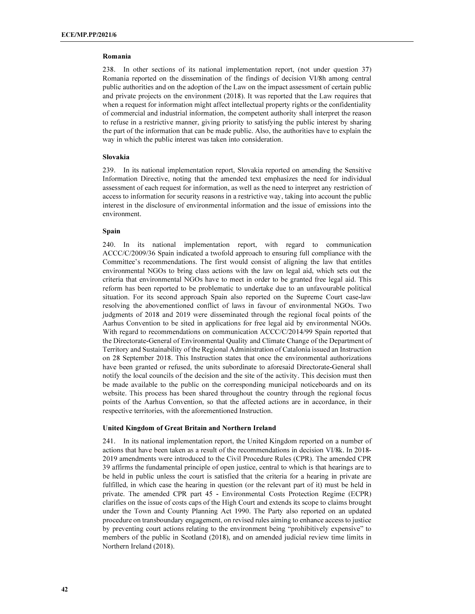#### Romania

238. In other sections of its national implementation report, (not under question 37) Romania reported on the dissemination of the findings of decision VI/8h among central public authorities and on the adoption of the Law on the impact assessment of certain public and private projects on the environment (2018). It was reported that the Law requires that when a request for information might affect intellectual property rights or the confidentiality of commercial and industrial information, the competent authority shall interpret the reason to refuse in a restrictive manner, giving priority to satisfying the public interest by sharing the part of the information that can be made public. Also, the authorities have to explain the way in which the public interest was taken into consideration.

#### Slovakia

239. In its national implementation report, Slovakia reported on amending the Sensitive Information Directive, noting that the amended text emphasizes the need for individual assessment of each request for information, as well as the need to interpret any restriction of access to information for security reasons in a restrictive way, taking into account the public interest in the disclosure of environmental information and the issue of emissions into the environment.

#### Spain

240. In its national implementation report, with regard to communication ACCC/C/2009/36 Spain indicated a twofold approach to ensuring full compliance with the Committee's recommendations. The first would consist of aligning the law that entitles environmental NGOs to bring class actions with the law on legal aid, which sets out the criteria that environmental NGOs have to meet in order to be granted free legal aid. This reform has been reported to be problematic to undertake due to an unfavourable political situation. For its second approach Spain also reported on the Supreme Court case-law resolving the abovementioned conflict of laws in favour of environmental NGOs. Two judgments of 2018 and 2019 were disseminated through the regional focal points of the Aarhus Convention to be sited in applications for free legal aid by environmental NGOs. With regard to recommendations on communication ACCC/C/2014/99 Spain reported that the Directorate-General of Environmental Quality and Climate Change of the Department of Territory and Sustainability of the Regional Administration of Catalonia issued an Instruction on 28 September 2018. This Instruction states that once the environmental authorizations have been granted or refused, the units subordinate to aforesaid Directorate-General shall notify the local councils of the decision and the site of the activity. This decision must then be made available to the public on the corresponding municipal noticeboards and on its website. This process has been shared throughout the country through the regional focus points of the Aarhus Convention, so that the affected actions are in accordance, in their respective territories, with the aforementioned Instruction.

#### United Kingdom of Great Britain and Northern Ireland

241. In its national implementation report, the United Kingdom reported on a number of actions that have been taken as a result of the recommendations in decision VI/8k. In 2018- 2019 amendments were introduced to the Civil Procedure Rules (CPR). The amended CPR 39 affirms the fundamental principle of open justice, central to which is that hearings are to be held in public unless the court is satisfied that the criteria for a hearing in private are fulfilled, in which case the hearing in question (or the relevant part of it) must be held in private. The amended CPR part 45 - Environmental Costs Protection Regime (ECPR) clarifies on the issue of costs caps of the High Court and extends its scope to claims brought under the Town and County Planning Act 1990. The Party also reported on an updated procedure on transboundary engagement, on revised rules aiming to enhance access to justice by preventing court actions relating to the environment being "prohibitively expensive" to members of the public in Scotland (2018), and on amended judicial review time limits in Northern Ireland (2018).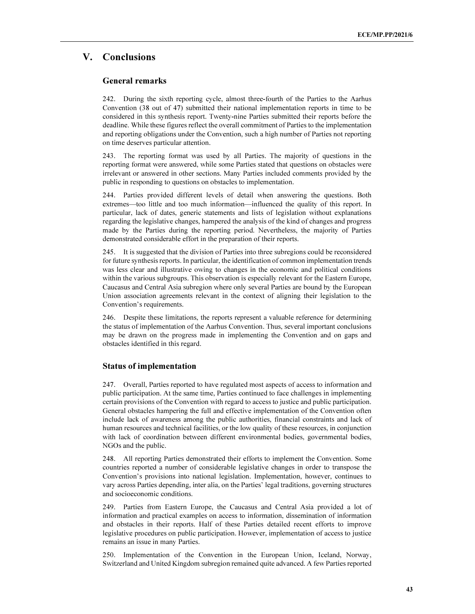## V. Conclusions

## General remarks

242. During the sixth reporting cycle, almost three-fourth of the Parties to the Aarhus Convention (38 out of 47) submitted their national implementation reports in time to be considered in this synthesis report. Twenty-nine Parties submitted their reports before the deadline. While these figures reflect the overall commitment of Parties to the implementation and reporting obligations under the Convention, such a high number of Parties not reporting on time deserves particular attention.

243. The reporting format was used by all Parties. The majority of questions in the reporting format were answered, while some Parties stated that questions on obstacles were irrelevant or answered in other sections. Many Parties included comments provided by the public in responding to questions on obstacles to implementation.

244. Parties provided different levels of detail when answering the questions. Both extremes—too little and too much information—influenced the quality of this report. In particular, lack of dates, generic statements and lists of legislation without explanations regarding the legislative changes, hampered the analysis of the kind of changes and progress made by the Parties during the reporting period. Nevertheless, the majority of Parties demonstrated considerable effort in the preparation of their reports.

245. It is suggested that the division of Parties into three subregions could be reconsidered for future synthesis reports. In particular, the identification of common implementation trends was less clear and illustrative owing to changes in the economic and political conditions within the various subgroups. This observation is especially relevant for the Eastern Europe, Caucasus and Central Asia subregion where only several Parties are bound by the European Union association agreements relevant in the context of aligning their legislation to the Convention's requirements.

246. Despite these limitations, the reports represent a valuable reference for determining the status of implementation of the Aarhus Convention. Thus, several important conclusions may be drawn on the progress made in implementing the Convention and on gaps and obstacles identified in this regard.

## Status of implementation

247. Overall, Parties reported to have regulated most aspects of access to information and public participation. At the same time, Parties continued to face challenges in implementing certain provisions of the Convention with regard to access to justice and public participation. General obstacles hampering the full and effective implementation of the Convention often include lack of awareness among the public authorities, financial constraints and lack of human resources and technical facilities, or the low quality of these resources, in conjunction with lack of coordination between different environmental bodies, governmental bodies, NGOs and the public.

248. All reporting Parties demonstrated their efforts to implement the Convention. Some countries reported a number of considerable legislative changes in order to transpose the Convention's provisions into national legislation. Implementation, however, continues to vary across Parties depending, inter alia, on the Parties' legal traditions, governing structures and socioeconomic conditions.

249. Parties from Eastern Europe, the Caucasus and Central Asia provided a lot of information and practical examples on access to information, dissemination of information and obstacles in their reports. Half of these Parties detailed recent efforts to improve legislative procedures on public participation. However, implementation of access to justice remains an issue in many Parties.

250. Implementation of the Convention in the European Union, Iceland, Norway, Switzerland and United Kingdom subregion remained quite advanced. A few Parties reported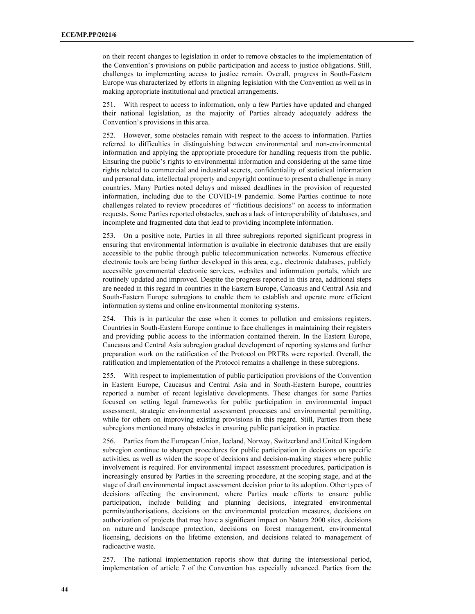on their recent changes to legislation in order to remove obstacles to the implementation of the Convention's provisions on public participation and access to justice obligations. Still, challenges to implementing access to justice remain. Overall, progress in South-Eastern Europe was characterized by efforts in aligning legislation with the Convention as well as in making appropriate institutional and practical arrangements.

251. With respect to access to information, only a few Parties have updated and changed their national legislation, as the majority of Parties already adequately address the Convention's provisions in this area.

252. However, some obstacles remain with respect to the access to information. Parties referred to difficulties in distinguishing between environmental and non-environmental information and applying the appropriate procedure for handling requests from the public. Ensuring the public's rights to environmental information and considering at the same time rights related to commercial and industrial secrets, confidentiality of statistical information and personal data, intellectual property and copyright continue to present a challenge in many countries. Many Parties noted delays and missed deadlines in the provision of requested information, including due to the COVID-19 pandemic. Some Parties continue to note challenges related to review procedures of "fictitious decisions" on access to information requests. Some Parties reported obstacles, such as a lack of interoperability of databases, and incomplete and fragmented data that lead to providing incomplete information.

253. On a positive note, Parties in all three subregions reported significant progress in ensuring that environmental information is available in electronic databases that are easily accessible to the public through public telecommunication networks. Numerous effective electronic tools are being further developed in this area, e.g., electronic databases, publicly accessible governmental electronic services, websites and information portals, which are routinely updated and improved. Despite the progress reported in this area, additional steps are needed in this regard in countries in the Eastern Europe, Caucasus and Central Asia and South-Eastern Europe subregions to enable them to establish and operate more efficient information systems and online environmental monitoring systems.

254. This is in particular the case when it comes to pollution and emissions registers. Countries in South-Eastern Europe continue to face challenges in maintaining their registers and providing public access to the information contained therein. In the Eastern Europe, Caucasus and Central Asia subregion gradual development of reporting systems and further preparation work on the ratification of the Protocol on PRTRs were reported. Overall, the ratification and implementation of the Protocol remains a challenge in these subregions.

255. With respect to implementation of public participation provisions of the Convention in Eastern Europe, Caucasus and Central Asia and in South-Eastern Europe, countries reported a number of recent legislative developments. These changes for some Parties focused on setting legal frameworks for public participation in environmental impact assessment, strategic environmental assessment processes and environmental permitting, while for others on improving existing provisions in this regard. Still, Parties from these subregions mentioned many obstacles in ensuring public participation in practice.

256. Parties from the European Union, Iceland, Norway, Switzerland and United Kingdom subregion continue to sharpen procedures for public participation in decisions on specific activities, as well as widen the scope of decisions and decision-making stages where public involvement is required. For environmental impact assessment procedures, participation is increasingly ensured by Parties in the screening procedure, at the scoping stage, and at the stage of draft environmental impact assessment decision prior to its adoption. Other types of decisions affecting the environment, where Parties made efforts to ensure public participation, include building and planning decisions, integrated environmental permits/authorisations, decisions on the environmental protection measures, decisions on authorization of projects that may have a significant impact on Natura 2000 sites, decisions on nature and landscape protection, decisions on forest management, environmental licensing, decisions on the lifetime extension, and decisions related to management of radioactive waste.

257. The national implementation reports show that during the intersessional period, implementation of article 7 of the Convention has especially advanced. Parties from the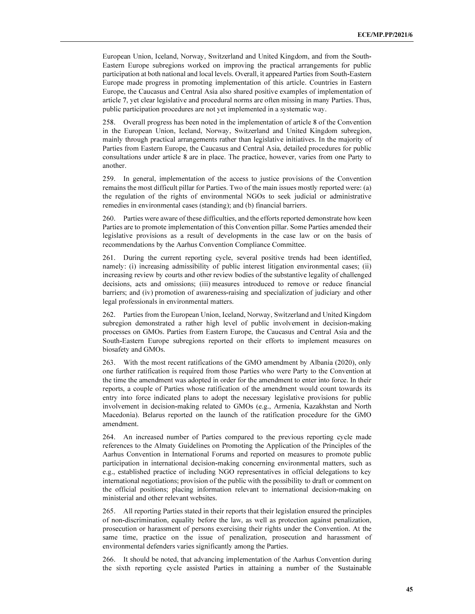European Union, Iceland, Norway, Switzerland and United Kingdom, and from the South-Eastern Europe subregions worked on improving the practical arrangements for public participation at both national and local levels. Overall, it appeared Parties from South-Eastern Europe made progress in promoting implementation of this article. Countries in Eastern Europe, the Caucasus and Central Asia also shared positive examples of implementation of article 7, yet clear legislative and procedural norms are often missing in many Parties. Thus, public participation procedures are not yet implemented in a systematic way.

258. Overall progress has been noted in the implementation of article 8 of the Convention in the European Union, Iceland, Norway, Switzerland and United Kingdom subregion, mainly through practical arrangements rather than legislative initiatives. In the majority of Parties from Eastern Europe, the Caucasus and Central Asia, detailed procedures for public consultations under article 8 are in place. The practice, however, varies from one Party to another.

259. In general, implementation of the access to justice provisions of the Convention remains the most difficult pillar for Parties. Two of the main issues mostly reported were: (a) the regulation of the rights of environmental NGOs to seek judicial or administrative remedies in environmental cases (standing); and (b) financial barriers.

260. Parties were aware of these difficulties, and the efforts reported demonstrate how keen Parties are to promote implementation of this Convention pillar. Some Parties amended their legislative provisions as a result of developments in the case law or on the basis of recommendations by the Aarhus Convention Compliance Committee.

261. During the current reporting cycle, several positive trends had been identified, namely: (i) increasing admissibility of public interest litigation environmental cases; (ii) increasing review by courts and other review bodies of the substantive legality of challenged decisions, acts and omissions; (iii) measures introduced to remove or reduce financial barriers; and (iv) promotion of awareness-raising and specialization of judiciary and other legal professionals in environmental matters.

262. Parties from the European Union, Iceland, Norway, Switzerland and United Kingdom subregion demonstrated a rather high level of public involvement in decision-making processes on GMOs. Parties from Eastern Europe, the Caucasus and Central Asia and the South-Eastern Europe subregions reported on their efforts to implement measures on biosafety and GMOs.

263. With the most recent ratifications of the GMO amendment by Albania (2020), only one further ratification is required from those Parties who were Party to the Convention at the time the amendment was adopted in order for the amendment to enter into force. In their reports, a couple of Parties whose ratification of the amendment would count towards its entry into force indicated plans to adopt the necessary legislative provisions for public involvement in decision-making related to GMOs (e.g., Armenia, Kazakhstan and North Macedonia). Belarus reported on the launch of the ratification procedure for the GMO amendment.

264. An increased number of Parties compared to the previous reporting cycle made references to the Almaty Guidelines on Promoting the Application of the Principles of the Aarhus Convention in International Forums and reported on measures to promote public participation in international decision-making concerning environmental matters, such as e.g., established practice of including NGO representatives in official delegations to key international negotiations; provision of the public with the possibility to draft or comment on the official positions; placing information relevant to international decision-making on ministerial and other relevant websites.

265. All reporting Parties stated in their reports that their legislation ensured the principles of non-discrimination, equality before the law, as well as protection against penalization, prosecution or harassment of persons exercising their rights under the Convention. At the same time, practice on the issue of penalization, prosecution and harassment of environmental defenders varies significantly among the Parties.

266. It should be noted, that advancing implementation of the Aarhus Convention during the sixth reporting cycle assisted Parties in attaining a number of the Sustainable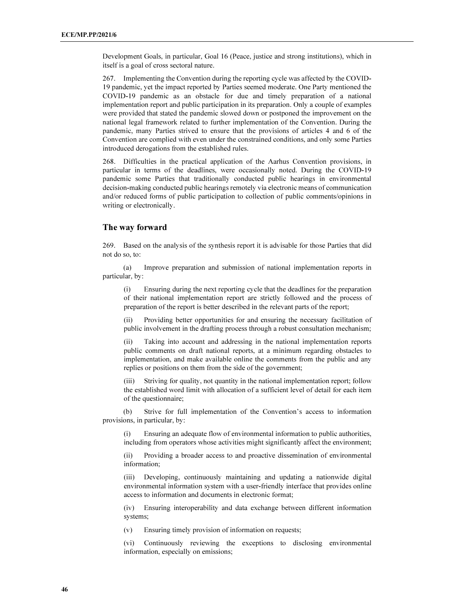Development Goals, in particular, Goal 16 (Peace, justice and strong institutions), which in itself is a goal of cross sectoral nature.

267. Implementing the Convention during the reporting cycle was affected by the COVID-19 pandemic, yet the impact reported by Parties seemed moderate. One Party mentioned the COVID-19 pandemic as an obstacle for due and timely preparation of a national implementation report and public participation in its preparation. Only a couple of examples were provided that stated the pandemic slowed down or postponed the improvement on the national legal framework related to further implementation of the Convention. During the pandemic, many Parties strived to ensure that the provisions of articles 4 and 6 of the Convention are complied with even under the constrained conditions, and only some Parties introduced derogations from the established rules.

268. Difficulties in the practical application of the Aarhus Convention provisions, in particular in terms of the deadlines, were occasionally noted. During the COVID-19 pandemic some Parties that traditionally conducted public hearings in environmental decision-making conducted public hearings remotely via electronic means of communication and/or reduced forms of public participation to collection of public comments/opinions in writing or electronically.

### The way forward

269. Based on the analysis of the synthesis report it is advisable for those Parties that did not do so, to:

 (a) Improve preparation and submission of national implementation reports in particular, by:

 (i) Ensuring during the next reporting cycle that the deadlines for the preparation of their national implementation report are strictly followed and the process of preparation of the report is better described in the relevant parts of the report;

(ii) Providing better opportunities for and ensuring the necessary facilitation of public involvement in the drafting process through a robust consultation mechanism;

(ii) Taking into account and addressing in the national implementation reports public comments on draft national reports, at a minimum regarding obstacles to implementation, and make available online the comments from the public and any replies or positions on them from the side of the government;

(iii) Striving for quality, not quantity in the national implementation report; follow the established word limit with allocation of a sufficient level of detail for each item of the questionnaire;

 (b) Strive for full implementation of the Convention's access to information provisions, in particular, by:

(i) Ensuring an adequate flow of environmental information to public authorities, including from operators whose activities might significantly affect the environment;

(ii) Providing a broader access to and proactive dissemination of environmental information;

(iii) Developing, continuously maintaining and updating a nationwide digital environmental information system with a user-friendly interface that provides online access to information and documents in electronic format;

(iv) Ensuring interoperability and data exchange between different information systems;

(v) Ensuring timely provision of information on requests;

(vi) Continuously reviewing the exceptions to disclosing environmental information, especially on emissions;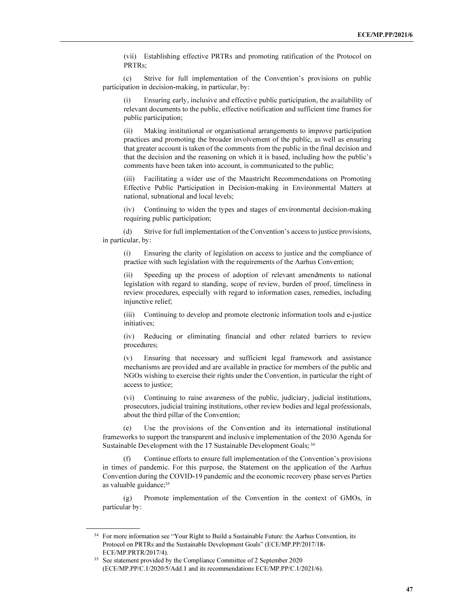(vii) Establishing effective PRTRs and promoting ratification of the Protocol on PRTRs;

 (c) Strive for full implementation of the Convention's provisions on public participation in decision-making, in particular, by:

(i) Ensuring early, inclusive and effective public participation, the availability of relevant documents to the public, effective notification and sufficient time frames for public participation;

(ii) Making institutional or organisational arrangements to improve participation practices and promoting the broader involvement of the public, as well as ensuring that greater account is taken of the comments from the public in the final decision and that the decision and the reasoning on which it is based, including how the public's comments have been taken into account, is communicated to the public;

(iii) Facilitating a wider use of the Maastricht Recommendations on Promoting Effective Public Participation in Decision-making in Environmental Matters at national, subnational and local levels;

(iv) Continuing to widen the types and stages of environmental decision-making requiring public participation;

 (d) Strive for full implementation of the Convention's access to justice provisions, in particular, by:

(і) Ensuring the clarity of legislation on access to justice and the compliance of practice with such legislation with the requirements of the Aarhus Convention;

(ii) Speeding up the process of adoption of relevant amendments to national legislation with regard to standing, scope of review, burden of proof, timeliness in review procedures, especially with regard to information cases, remedies, including injunctive relief;

(iii) Continuing to develop and promote electronic information tools and e-justice initiatives;

(iv) Reducing or eliminating financial and other related barriers to review procedures;

(v) Ensuring that necessary and sufficient legal framework and assistance mechanisms are provided and are available in practice for members of the public and NGOs wishing to exercise their rights under the Convention, in particular the right of access to justice;

(vi) Continuing to raise awareness of the public, judiciary, judicial institutions, prosecutors, judicial training institutions, other review bodies and legal professionals, about the third pillar of the Convention;

 (e) Use the provisions of the Convention and its international institutional frameworks to support the transparent and inclusive implementation of the 2030 Agenda for Sustainable Development with the 17 Sustainable Development Goals; 34

 (f) Continue efforts to ensure full implementation of the Convention's provisions in times of pandemic. For this purpose, the Statement on the application of the Aarhus Convention during the COVID-19 pandemic and the economic recovery phase serves Parties as valuable guidance;<sup>35</sup>

 (g) Promote implementation of the Convention in the context of GMOs, in particular by:

<sup>&</sup>lt;sup>34</sup> For more information see "Your Right to Build a Sustainable Future: the Aarhus Convention, its Protocol on PRTRs and the Sustainable Development Goals" (ECE/MP.PP/2017/18- ECE/MP.PRTR/2017/4).

<sup>&</sup>lt;sup>35</sup> See statement provided by the Compliance Committee of 2 September 2020 (ECE/MP.PP/C.1/2020/5/Add.1 and its recommendations ECE/MP.PP/C.1/2021/6).